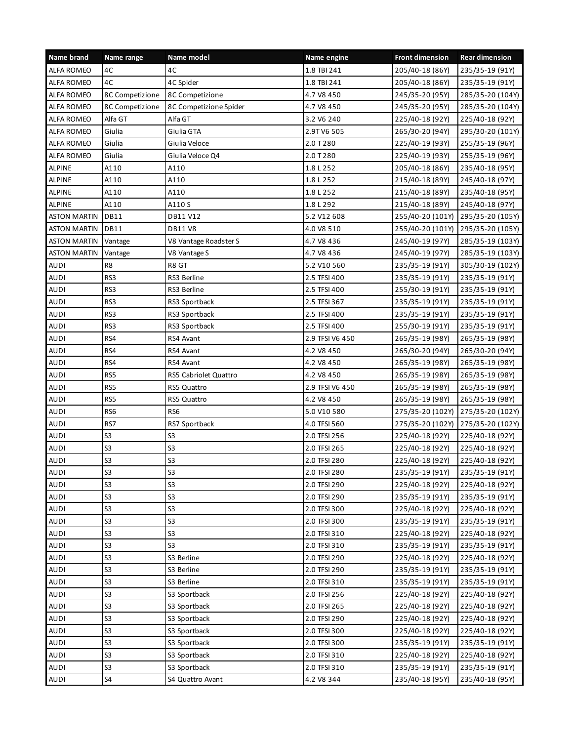| Name brand          | Name range      | Name model             | Name engine     | <b>Front dimension</b> | <b>Rear dimension</b> |
|---------------------|-----------------|------------------------|-----------------|------------------------|-----------------------|
| <b>ALFA ROMEO</b>   | 4C              | 4C                     | 1.8 TBI 241     | 205/40-18 (86Y)        | 235/35-19 (91Y)       |
| <b>ALFA ROMEO</b>   | 4C              | 4C Spider              | 1.8 TBI 241     | 205/40-18 (86Y)        | 235/35-19 (91Y)       |
| ALFA ROMEO          | 8C Competizione | 8C Competizione        | 4.7 V8 450      | 245/35-20 (95Y)        | 285/35-20 (104Y)      |
| <b>ALFA ROMEO</b>   | 8C Competizione | 8C Competizione Spider | 4.7 V8 450      | 245/35-20 (95Y)        | 285/35-20 (104Y)      |
| <b>ALFA ROMEO</b>   | Alfa GT         | Alfa GT                | 3.2 V6 240      | 225/40-18 (92Y)        | 225/40-18 (92Y)       |
| ALFA ROMEO          | Giulia          | Giulia GTA             | 2.9TV6 505      | 265/30-20 (94Y)        | 295/30-20 (101Y)      |
| <b>ALFA ROMEO</b>   | Giulia          | Giulia Veloce          | 2.0 T 280       | 225/40-19 (93Y)        | 255/35-19 (96Y)       |
| ALFA ROMEO          | Giulia          | Giulia Veloce Q4       | 2.0 T 280       | 225/40-19 (93Y)        | 255/35-19 (96Y)       |
| <b>ALPINE</b>       | A110            | A110                   | 1.8 L 252       | 205/40-18 (86Y)        | 235/40-18 (95Y)       |
| <b>ALPINE</b>       | A110            | A110                   | 1.8 L 252       | 215/40-18 (89Y)        | 245/40-18 (97Y)       |
| <b>ALPINE</b>       | A110            | A110                   | 1.8 L 252       | 215/40-18 (89Y)        | 235/40-18 (95Y)       |
| <b>ALPINE</b>       | A110            | A110 S                 | 1.8 L 292       | 215/40-18 (89Y)        | 245/40-18 (97Y)       |
| <b>ASTON MARTIN</b> | <b>DB11</b>     | DB11 V12               | 5.2 V12 608     | 255/40-20 (101Y)       | 295/35-20 (105Y)      |
| <b>ASTON MARTIN</b> | DB11            | DB11 V8                | 4.0 V8 510      | 255/40-20 (101Y)       | 295/35-20 (105Y)      |
| <b>ASTON MARTIN</b> | Vantage         | V8 Vantage Roadster S  | 4.7 V8 436      | 245/40-19 (97Y)        | 285/35-19 (103Y)      |
| <b>ASTON MARTIN</b> | Vantage         | V8 Vantage S           | 4.7 V8 436      | 245/40-19 (97Y)        | 285/35-19 (103Y)      |
| AUDI                | R8              | R8 GT                  | 5.2 V10 560     | 235/35-19 (91Y)        | 305/30-19 (102Y)      |
| <b>AUDI</b>         | RS3             | RS3 Berline            | 2.5 TFSI 400    | 235/35-19 (91Y)        | 235/35-19 (91Y)       |
| <b>AUDI</b>         | RS3             | RS3 Berline            | 2.5 TFSI 400    | 255/30-19 (91Y)        | 235/35-19 (91Y)       |
| <b>AUDI</b>         | RS3             | RS3 Sportback          | 2.5 TFSI 367    | 235/35-19 (91Y)        | 235/35-19 (91Y)       |
| <b>AUDI</b>         | RS3             | RS3 Sportback          | 2.5 TFSI 400    | 235/35-19 (91Y)        | 235/35-19 (91Y)       |
| <b>AUDI</b>         | RS3             | RS3 Sportback          | 2.5 TFSI 400    | 255/30-19 (91Y)        | 235/35-19 (91Y)       |
| AUDI                | RS4             | RS4 Avant              | 2.9 TFSI V6 450 | 265/35-19 (98Y)        | 265/35-19 (98Y)       |
| <b>AUDI</b>         | RS4             | RS4 Avant              | 4.2 V8 450      | 265/30-20 (94Y)        | 265/30-20 (94Y)       |
| <b>AUDI</b>         | RS4             | RS4 Avant              | 4.2 V8 450      | 265/35-19 (98Y)        | 265/35-19 (98Y)       |
| AUDI                | RS5             | RS5 Cabriolet Quattro  | 4.2 V8 450      | 265/35-19 (98Y)        | 265/35-19 (98Y)       |
| <b>AUDI</b>         | RS5             | RS5 Quattro            | 2.9 TFSI V6 450 | 265/35-19 (98Y)        | 265/35-19 (98Y)       |
| <b>AUDI</b>         | RS5             | RS5 Quattro            | 4.2 V8 450      | 265/35-19 (98Y)        | 265/35-19 (98Y)       |
| AUDI                | RS6             | RS6                    | 5.0 V10 580     | 275/35-20 (102Y)       | 275/35-20 (102Y)      |
| <b>AUDI</b>         | RS7             | RS7 Sportback          | 4.0 TFSI 560    | 275/35-20 (102Y)       | 275/35-20 (102Y)      |
| <b>AUDI</b>         | S <sub>3</sub>  | S <sub>3</sub>         | 2.0 TFSI 256    | 225/40-18 (92Y)        | 225/40-18 (92Y)       |
| <b>AUDI</b>         | S <sub>3</sub>  | S <sub>3</sub>         | 2.0 TFSI 265    | 225/40-18 (92Y)        | 225/40-18 (92Y)       |
| <b>AUDI</b>         | S <sub>3</sub>  | S <sub>3</sub>         | 2.0 TFSI 280    | 225/40-18 (92Y)        | 225/40-18 (92Y)       |
| <b>AUDI</b>         | 53              | S <sub>3</sub>         | 2.0 TFSI 280    | 235/35-19 (91Y)        | 235/35-19 (91Y)       |
| AUDI                | S <sub>3</sub>  | S <sub>3</sub>         | 2.0 TFSI 290    | 225/40-18 (92Y)        | 225/40-18 (92Y)       |
| <b>AUDI</b>         | S <sub>3</sub>  | S <sub>3</sub>         | 2.0 TFSI 290    | 235/35-19 (91Y)        | 235/35-19 (91Y)       |
| <b>AUDI</b>         | S <sub>3</sub>  | S <sub>3</sub>         | 2.0 TFSI 300    | 225/40-18 (92Y)        | 225/40-18 (92Y)       |
| AUDI                | S <sub>3</sub>  | S <sub>3</sub>         | 2.0 TFSI 300    | 235/35-19 (91Y)        | 235/35-19 (91Y)       |
| <b>AUDI</b>         | S <sub>3</sub>  | S <sub>3</sub>         | 2.0 TFSI 310    | 225/40-18 (92Y)        | 225/40-18 (92Y)       |
| <b>AUDI</b>         | S <sub>3</sub>  | S <sub>3</sub>         | 2.0 TFSI 310    | 235/35-19 (91Y)        | 235/35-19 (91Y)       |
| <b>AUDI</b>         | S <sub>3</sub>  | S3 Berline             | 2.0 TFSI 290    | 225/40-18 (92Y)        | 225/40-18 (92Y)       |
| <b>AUDI</b>         | S <sub>3</sub>  | S3 Berline             | 2.0 TFSI 290    | 235/35-19 (91Y)        | 235/35-19 (91Y)       |
| <b>AUDI</b>         | S <sub>3</sub>  | S3 Berline             | 2.0 TFSI 310    | 235/35-19 (91Y)        | 235/35-19 (91Y)       |
| AUDI                | S <sub>3</sub>  | S3 Sportback           | 2.0 TFSI 256    | 225/40-18 (92Y)        | 225/40-18 (92Y)       |
| <b>AUDI</b>         | S <sub>3</sub>  | S3 Sportback           | 2.0 TFSI 265    | 225/40-18 (92Y)        | 225/40-18 (92Y)       |
| <b>AUDI</b>         | S <sub>3</sub>  | S3 Sportback           | 2.0 TFSI 290    | 225/40-18 (92Y)        | 225/40-18 (92Y)       |
| <b>AUDI</b>         | S <sub>3</sub>  | S3 Sportback           | 2.0 TFSI 300    | 225/40-18 (92Y)        | 225/40-18 (92Y)       |
| <b>AUDI</b>         | S <sub>3</sub>  | S3 Sportback           | 2.0 TFSI 300    | 235/35-19 (91Y)        | 235/35-19 (91Y)       |
| <b>AUDI</b>         | S <sub>3</sub>  | S3 Sportback           | 2.0 TFSI 310    | 225/40-18 (92Y)        | 225/40-18 (92Y)       |
| AUDI                | S <sub>3</sub>  | S3 Sportback           | 2.0 TFSI 310    | 235/35-19 (91Y)        | 235/35-19 (91Y)       |
| <b>AUDI</b>         | S4              | S4 Quattro Avant       | 4.2 V8 344      | 235/40-18 (95Y)        | 235/40-18 (95Y)       |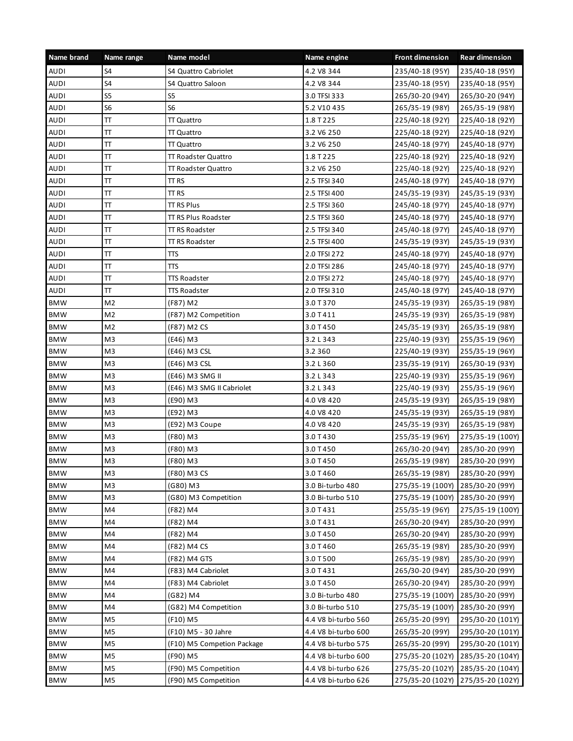| Name brand  | Name range       | Name model                 | Name engine         | <b>Front dimension</b> | <b>Rear dimension</b> |
|-------------|------------------|----------------------------|---------------------|------------------------|-----------------------|
| <b>AUDI</b> | S4               | S4 Quattro Cabriolet       | 4.2 V8 344          | 235/40-18 (95Y)        | 235/40-18 (95Y)       |
| <b>AUDI</b> | S4               | S4 Quattro Saloon          | 4.2 V8 344          | 235/40-18 (95Y)        | 235/40-18 (95Y)       |
| <b>AUDI</b> | S <sub>5</sub>   | S <sub>5</sub>             | 3.0 TFSI 333        | 265/30-20 (94Y)        | 265/30-20 (94Y)       |
| <b>AUDI</b> | S <sub>6</sub>   | S <sub>6</sub>             | 5.2 V10 435         | 265/35-19 (98Y)        | 265/35-19 (98Y)       |
| <b>AUDI</b> | Π                | <b>TT Quattro</b>          | 1.8 T 225           | 225/40-18 (92Y)        | 225/40-18 (92Y)       |
| <b>AUDI</b> | π                | TT Quattro                 | 3.2 V6 250          | 225/40-18 (92Y)        | 225/40-18 (92Y)       |
| <b>AUDI</b> | π                | <b>TT Quattro</b>          | 3.2 V6 250          | 245/40-18 (97Y)        | 245/40-18 (97Y)       |
| <b>AUDI</b> | π                | TT Roadster Quattro        | 1.8 T 225           | 225/40-18 (92Y)        | 225/40-18 (92Y)       |
| <b>AUDI</b> | Π                | TT Roadster Quattro        | 3.2 V6 250          | 225/40-18 (92Y)        | 225/40-18 (92Y)       |
| <b>AUDI</b> | π                | TT RS                      | 2.5 TFSI 340        | 245/40-18 (97Y)        | 245/40-18 (97Y)       |
| <b>AUDI</b> | Π                | TT <sub>RS</sub>           | 2.5 TFSI 400        | 245/35-19 (93Y)        | 245/35-19 (93Y)       |
| <b>AUDI</b> | Π                | TT RS Plus                 | 2.5 TFSI 360        | 245/40-18 (97Y)        | 245/40-18 (97Y)       |
| <b>AUDI</b> | $\overline{\Pi}$ | TT RS Plus Roadster        | 2.5 TFSI 360        | 245/40-18 (97Y)        | 245/40-18 (97Y)       |
| <b>AUDI</b> | π                | <b>TT RS Roadster</b>      | 2.5 TFSI 340        | 245/40-18 (97Y)        | 245/40-18 (97Y)       |
| <b>AUDI</b> | π                | <b>TT RS Roadster</b>      | 2.5 TFSI 400        | 245/35-19 (93Y)        | 245/35-19 (93Y)       |
| <b>AUDI</b> | $\overline{\Pi}$ | πs                         | 2.0 TFSI 272        | 245/40-18 (97Y)        | 245/40-18 (97Y)       |
| <b>AUDI</b> | Π                | πs                         | 2.0 TFSI 286        | 245/40-18 (97Y)        | 245/40-18 (97Y)       |
| <b>AUDI</b> | π                | <b>TTS Roadster</b>        | 2.0 TFSI 272        | 245/40-18 (97Y)        | 245/40-18 (97Y)       |
| <b>AUDI</b> | $\overline{\Pi}$ | <b>TTS Roadster</b>        | 2.0 TFSI 310        | 245/40-18 (97Y)        | 245/40-18 (97Y)       |
| <b>BMW</b>  | M <sub>2</sub>   | (F87) M2                   | 3.0 T 370           | 245/35-19 (93Y)        | 265/35-19 (98Y)       |
| <b>BMW</b>  | M2               | (F87) M2 Competition       | 3.0 T 411           | 245/35-19 (93Y)        | 265/35-19 (98Y)       |
| <b>BMW</b>  | M <sub>2</sub>   | (F87) M2 CS                | 3.0 T 450           | 245/35-19 (93Y)        | 265/35-19 (98Y)       |
| <b>BMW</b>  | M <sub>3</sub>   | (E46) M3                   | 3.2 L 343           | 225/40-19 (93Y)        | 255/35-19 (96Y)       |
| <b>BMW</b>  | M <sub>3</sub>   | (E46) M3 CSL               | 3.2 360             | 225/40-19 (93Y)        | 255/35-19 (96Y)       |
| <b>BMW</b>  | M3               | (E46) M3 CSL               | 3.2 L 360           | 235/35-19 (91Y)        | 265/30-19 (93Y)       |
| <b>BMW</b>  | M <sub>3</sub>   | (E46) M3 SMG II            | 3.2 L 343           | 225/40-19 (93Y)        | 255/35-19 (96Y)       |
| <b>BMW</b>  | M3               | (E46) M3 SMG II Cabriolet  | 3.2 L 343           | 225/40-19 (93Y)        | 255/35-19 (96Y)       |
| <b>BMW</b>  | M3               | (E90) M3                   | 4.0 V8 420          | 245/35-19 (93Y)        | 265/35-19 (98Y)       |
| <b>BMW</b>  | M <sub>3</sub>   | (E92) M3                   | 4.0 V8 420          | 245/35-19 (93Y)        | 265/35-19 (98Y)       |
| <b>BMW</b>  | M <sub>3</sub>   | (E92) M3 Coupe             | 4.0 V8 420          | 245/35-19 (93Y)        | 265/35-19 (98Y)       |
| <b>BMW</b>  | M3               | (F80) M3                   | 3.0 T 430           | 255/35-19 (96Y)        | 275/35-19 (100Y)      |
| <b>BMW</b>  | M <sub>3</sub>   | (F80) M3                   | 3.0 T 450           | 265/30-20 (94Y)        | 285/30-20 (99Y)       |
| <b>BMW</b>  | M3               | (F80) M3                   | 3.0 T 450           | 265/35-19 (98Y)        | 285/30-20 (99Y)       |
| <b>BMW</b>  | M3               | (F80) M3 CS                | 3.0 T 460           | 265/35-19 (98Y)        | 285/30-20 (99Y)       |
| <b>BMW</b>  | M3               | (G80) M3                   | 3.0 Bi-turbo 480    | 275/35-19 (100Y)       | 285/30-20 (99Y)       |
| <b>BMW</b>  | M3               | (G80) M3 Competition       | 3.0 Bi-turbo 510    | 275/35-19 (100Y)       | 285/30-20 (99Y)       |
| <b>BMW</b>  | M4               | (F82) M4                   | 3.0 T 431           | 255/35-19 (96Y)        | 275/35-19 (100Y)      |
| <b>BMW</b>  | M4               | (F82) M4                   | 3.0 T 431           | 265/30-20 (94Y)        | 285/30-20 (99Y)       |
| <b>BMW</b>  | M4               | (F82) M4                   | 3.0 T 450           | 265/30-20 (94Y)        | 285/30-20 (99Y)       |
| <b>BMW</b>  | M4               | (F82) M4 CS                | 3.0 T 460           | 265/35-19 (98Y)        | 285/30-20 (99Y)       |
| <b>BMW</b>  | M4               | (F82) M4 GTS               | 3.0 T 500           | 265/35-19 (98Y)        | 285/30-20 (99Y)       |
| <b>BMW</b>  | M4               | (F83) M4 Cabriolet         | 3.0 T 431           | 265/30-20 (94Y)        | 285/30-20 (99Y)       |
| <b>BMW</b>  | M4               | (F83) M4 Cabriolet         | 3.0 T 450           | 265/30-20 (94Y)        | 285/30-20 (99Y)       |
| <b>BMW</b>  | M4               | (G82) M4                   | 3.0 Bi-turbo 480    | 275/35-19 (100Y)       | 285/30-20 (99Y)       |
| <b>BMW</b>  | M4               | (G82) M4 Competition       | 3.0 Bi-turbo 510    | 275/35-19 (100Y)       | 285/30-20 (99Y)       |
| <b>BMW</b>  | M5               | (F10) M5                   | 4.4 V8 bi-turbo 560 | 265/35-20 (99Y)        | 295/30-20 (101Y)      |
| <b>BMW</b>  | M <sub>5</sub>   | (F10) M5 - 30 Jahre        | 4.4 V8 bi-turbo 600 | 265/35-20 (99Y)        | 295/30-20 (101Y)      |
| <b>BMW</b>  | M5               | (F10) M5 Competion Package | 4.4 V8 bi-turbo 575 | 265/35-20 (99Y)        | 295/30-20 (101Y)      |
| <b>BMW</b>  | M5               | (F90) M5                   | 4.4 V8 bi-turbo 600 | 275/35-20 (102Y)       | 285/35-20 (104Y)      |
| <b>BMW</b>  | M5               | (F90) M5 Competition       | 4.4 V8 bi-turbo 626 | 275/35-20 (102Y)       | 285/35-20 (104Y)      |
| <b>BMW</b>  | M5               | (F90) M5 Competition       | 4.4 V8 bi-turbo 626 | 275/35-20 (102Y)       | 275/35-20 (102Y)      |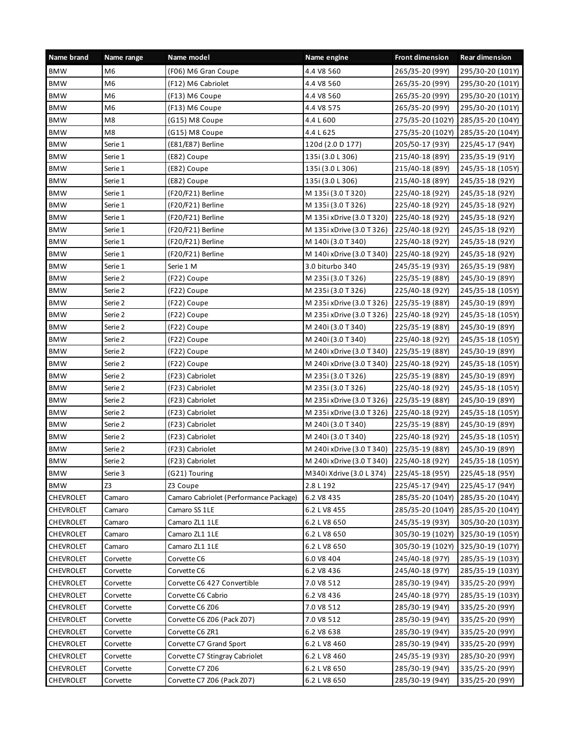| Name brand       | Name range | Name model                             | Name engine               | <b>Front dimension</b> | <b>Rear dimension</b> |
|------------------|------------|----------------------------------------|---------------------------|------------------------|-----------------------|
| <b>BMW</b>       | M6         | (F06) M6 Gran Coupe                    | 4.4 V8 560                | 265/35-20 (99Y)        | 295/30-20 (101Y)      |
| <b>BMW</b>       | M6         | (F12) M6 Cabriolet                     | 4.4 V8 560                | 265/35-20 (99Y)        | 295/30-20 (101Y)      |
| <b>BMW</b>       | M6         | (F13) M6 Coupe                         | 4.4 V8 560                | 265/35-20 (99Y)        | 295/30-20 (101Y)      |
| <b>BMW</b>       | M6         | (F13) M6 Coupe                         | 4.4 V8 575                | 265/35-20 (99Y)        | 295/30-20 (101Y)      |
| <b>BMW</b>       | M8         | (G15) M8 Coupe                         | 4.4 L 600                 | 275/35-20 (102Y)       | 285/35-20 (104Y)      |
| <b>BMW</b>       | M8         | (G15) M8 Coupe                         | 4.4 L 625                 | 275/35-20 (102Y)       | 285/35-20 (104Y)      |
| <b>BMW</b>       | Serie 1    | (E81/E87) Berline                      | 120d (2.0 D 177)          | 205/50-17 (93Y)        | 225/45-17 (94Y)       |
| <b>BMW</b>       | Serie 1    | (E82) Coupe                            | 135i (3.0 L 306)          | 215/40-18 (89Y)        | 235/35-19 (91Y)       |
| <b>BMW</b>       | Serie 1    | (E82) Coupe                            | 135i (3.0 L 306)          | 215/40-18 (89Y)        | 245/35-18 (105Y)      |
| <b>BMW</b>       | Serie 1    | (E82) Coupe                            | 135i (3.0 L 306)          | 215/40-18 (89Y)        | 245/35-18 (92Y)       |
| <b>BMW</b>       | Serie 1    | (F20/F21) Berline                      | M 135i (3.0 T 320)        | 225/40-18 (92Y)        | 245/35-18 (92Y)       |
| <b>BMW</b>       | Serie 1    | (F20/F21) Berline                      | M 135i (3.0 T 326)        | 225/40-18 (92Y)        | 245/35-18 (92Y)       |
| <b>BMW</b>       | Serie 1    | (F20/F21) Berline                      | M 135i xDrive (3.0 T 320) | 225/40-18 (92Y)        | 245/35-18 (92Y)       |
| <b>BMW</b>       | Serie 1    | (F20/F21) Berline                      | M 135i xDrive (3.0 T 326) | 225/40-18 (92Y)        | 245/35-18 (92Y)       |
| <b>BMW</b>       | Serie 1    | (F20/F21) Berline                      | M 140i (3.0 T 340)        | 225/40-18 (92Y)        | 245/35-18 (92Y)       |
| <b>BMW</b>       | Serie 1    | (F20/F21) Berline                      | M 140i xDrive (3.0 T 340) | 225/40-18 (92Y)        | 245/35-18 (92Y)       |
| <b>BMW</b>       | Serie 1    | Serie 1 M                              | 3.0 biturbo 340           | 245/35-19 (93Y)        | 265/35-19 (98Y)       |
| <b>BMW</b>       | Serie 2    | (F22) Coupe                            | M 235i (3.0 T 326)        | 225/35-19 (88Y)        | 245/30-19 (89Y)       |
| <b>BMW</b>       | Serie 2    | (F22) Coupe                            | M 235i (3.0 T 326)        | 225/40-18 (92Y)        | 245/35-18 (105Y)      |
| <b>BMW</b>       | Serie 2    | (F22) Coupe                            | M 235i xDrive (3.0 T 326) | 225/35-19 (88Y)        | 245/30-19 (89Y)       |
| <b>BMW</b>       | Serie 2    | (F22) Coupe                            | M 235i xDrive (3.0 T 326) | 225/40-18 (92Y)        | 245/35-18 (105Y)      |
| <b>BMW</b>       | Serie 2    | (F22) Coupe                            | M 240i (3.0 T 340)        | 225/35-19 (88Y)        | 245/30-19 (89Y)       |
| <b>BMW</b>       | Serie 2    | (F22) Coupe                            | M 240i (3.0 T 340)        | 225/40-18 (92Y)        | 245/35-18 (105Y)      |
| <b>BMW</b>       | Serie 2    | (F22) Coupe                            | M 240i xDrive (3.0 T 340) | 225/35-19 (88Y)        | 245/30-19 (89Y)       |
| <b>BMW</b>       | Serie 2    | (F22) Coupe                            | M 240i xDrive (3.0 T 340) | 225/40-18 (92Y)        | 245/35-18 (105Y)      |
| <b>BMW</b>       | Serie 2    | (F23) Cabriolet                        | M 235i (3.0 T 326)        | 225/35-19 (88Y)        | 245/30-19 (89Y)       |
| <b>BMW</b>       | Serie 2    | (F23) Cabriolet                        | M 235i (3.0 T 326)        | 225/40-18 (92Y)        | 245/35-18 (105Y)      |
| <b>BMW</b>       | Serie 2    | (F23) Cabriolet                        | M 235i xDrive (3.0 T 326) | 225/35-19 (88Y)        | 245/30-19 (89Y)       |
| <b>BMW</b>       | Serie 2    | (F23) Cabriolet                        | M 235i xDrive (3.0 T 326) | 225/40-18 (92Y)        | 245/35-18 (105Y)      |
| <b>BMW</b>       | Serie 2    | (F23) Cabriolet                        | M 240i (3.0 T 340)        | 225/35-19 (88Y)        | 245/30-19 (89Y)       |
| <b>BMW</b>       | Serie 2    | (F23) Cabriolet                        | M 240i (3.0 T 340)        | 225/40-18 (92Y)        | 245/35-18 (105Y)      |
| <b>BMW</b>       | Serie 2    | (F23) Cabriolet                        | M 240i xDrive (3.0 T 340) | 225/35-19 (88Y)        | 245/30-19 (89Y)       |
| <b>BMW</b>       | Serie 2    | (F23) Cabriolet                        | M 240i xDrive (3.0 T 340) | 225/40-18 (92Y)        | 245/35-18 (105Y)      |
| <b>BMW</b>       | Serie 3    | (G21) Touring                          | M340i Xdrive (3.0 L 374)  | 225/45-18 (95Y)        | 225/45-18 (95Y)       |
| <b>BMW</b>       | Z3         | Z3 Coupe                               | 2.8 L 192                 | 225/45-17 (94Y)        | 225/45-17 (94Y)       |
| CHEVROLET        | Camaro     | Camaro Cabriolet (Performance Package) | 6.2 V8 435                | 285/35-20 (104Y)       | 285/35-20 (104Y)      |
| <b>CHEVROLET</b> | Camaro     | Camaro SS 1LE                          | 6.2 L V8 455              | 285/35-20 (104Y)       | 285/35-20 (104Y)      |
| <b>CHEVROLET</b> | Camaro     | Camaro ZL1 1LE                         | 6.2 L V8 650              | 245/35-19 (93Y)        | 305/30-20 (103Y)      |
| <b>CHEVROLET</b> | Camaro     | Camaro ZL1 1LE                         | 6.2 L V8 650              | 305/30-19 (102Y)       | 325/30-19 (105Y)      |
| CHEVROLET        | Camaro     | Camaro ZL1 1LE                         | 6.2 L V8 650              | 305/30-19 (102Y)       | 325/30-19 (107Y)      |
| CHEVROLET        | Corvette   | Corvette C6                            | 6.0 V8 404                | 245/40-18 (97Y)        | 285/35-19 (103Y)      |
| CHEVROLET        | Corvette   | Corvette C6                            | 6.2 V8 436                | 245/40-18 (97Y)        | 285/35-19 (103Y)      |
| CHEVROLET        | Corvette   | Corvette C6 427 Convertible            | 7.0 V8 512                | 285/30-19 (94Y)        | 335/25-20 (99Y)       |
| <b>CHEVROLET</b> | Corvette   | Corvette C6 Cabrio                     | 6.2 V8 436                | 245/40-18 (97Y)        | 285/35-19 (103Y)      |
| CHEVROLET        | Corvette   | Corvette C6 Z06                        | 7.0 V8 512                | 285/30-19 (94Y)        | 335/25-20 (99Y)       |
| CHEVROLET        | Corvette   | Corvette C6 Z06 (Pack Z07)             | 7.0 V8 512                | 285/30-19 (94Y)        | 335/25-20 (99Y)       |
| CHEVROLET        | Corvette   | Corvette C6 ZR1                        | 6.2 V8 638                | 285/30-19 (94Y)        | 335/25-20 (99Y)       |
| <b>CHEVROLET</b> | Corvette   | Corvette C7 Grand Sport                | 6.2 L V8 460              | 285/30-19 (94Y)        | 335/25-20 (99Y)       |
| <b>CHEVROLET</b> | Corvette   | Corvette C7 Stingray Cabriolet         | 6.2 L V8 460              | 245/35-19 (93Y)        | 285/30-20 (99Y)       |
| <b>CHEVROLET</b> | Corvette   | Corvette C7 Z06                        | 6.2 L V8 650              | 285/30-19 (94Y)        | 335/25-20 (99Y)       |
| CHEVROLET        | Corvette   | Corvette C7 Z06 (Pack Z07)             | 6.2 L V8 650              | 285/30-19 (94Y)        | 335/25-20 (99Y)       |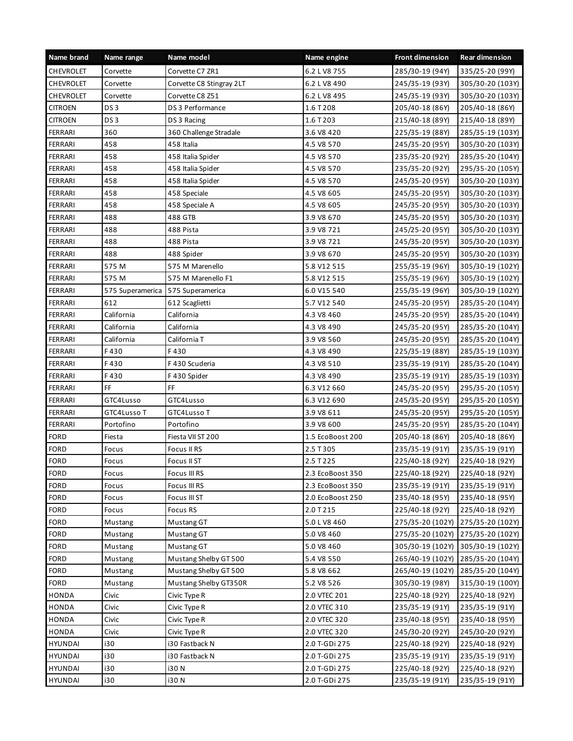| Name brand       | Name range       | Name model               | Name engine      | <b>Front dimension</b> | <b>Rear dimension</b> |
|------------------|------------------|--------------------------|------------------|------------------------|-----------------------|
| CHEVROLET        | Corvette         | Corvette C7 ZR1          | 6.2 L V8 755     | 285/30-19 (94Y)        | 335/25-20 (99Y)       |
| <b>CHEVROLET</b> | Corvette         | Corvette C8 Stingray 2LT | 6.2 L V8 490     | 245/35-19 (93Y)        | 305/30-20 (103Y)      |
| <b>CHEVROLET</b> | Corvette         | Corvette C8 Z51          | 6.2 L V8 495     | 245/35-19 (93Y)        | 305/30-20 (103Y)      |
| <b>CITROEN</b>   | DS <sub>3</sub>  | DS 3 Performance         | 1.6 T 208        | 205/40-18 (86Y)        | 205/40-18 (86Y)       |
| <b>CITROEN</b>   | DS <sub>3</sub>  | DS 3 Racing              | 1.6 T 203        | 215/40-18 (89Y)        | 215/40-18 (89Y)       |
| FERRARI          | 360              | 360 Challenge Stradale   | 3.6 V8 420       | 225/35-19 (88Y)        | 285/35-19 (103Y)      |
| FERRARI          | 458              | 458 Italia               | 4.5 V8 570       | 245/35-20 (95Y)        | 305/30-20 (103Y)      |
| <b>FERRARI</b>   | 458              | 458 Italia Spider        | 4.5 V8 570       | 235/35-20 (92Y)        | 285/35-20 (104Y)      |
| FERRARI          | 458              | 458 Italia Spider        | 4.5 V8 570       | 235/35-20 (92Y)        | 295/35-20 (105Y)      |
| FERRARI          | 458              | 458 Italia Spider        | 4.5 V8 570       | 245/35-20 (95Y)        | 305/30-20 (103Y)      |
| FERRARI          | 458              | 458 Speciale             | 4.5 V8 605       | 245/35-20 (95Y)        | 305/30-20 (103Y)      |
| FERRARI          | 458              | 458 Speciale A           | 4.5 V8 605       | 245/35-20 (95Y)        | 305/30-20 (103Y)      |
| FERRARI          | 488              | 488 GTB                  | 3.9 V8 670       | 245/35-20 (95Y)        | 305/30-20 (103Y)      |
| FERRARI          | 488              | 488 Pista                | 3.9 V8 721       | 245/25-20 (95Y)        | 305/30-20 (103Y)      |
| <b>FERRARI</b>   | 488              | 488 Pista                | 3.9 V8 721       | 245/35-20 (95Y)        | 305/30-20 (103Y)      |
| FERRARI          | 488              | 488 Spider               | 3.9 V8 670       | 245/35-20 (95Y)        | 305/30-20 (103Y)      |
| FERRARI          | 575 M            | 575 M Marenello          | 5.8 V12 515      | 255/35-19 (96Y)        | 305/30-19 (102Y)      |
| FERRARI          | 575 M            | 575 M Marenello F1       | 5.8 V12 515      | 255/35-19 (96Y)        | 305/30-19 (102Y)      |
| FERRARI          | 575 Superamerica | 575 Superamerica         | 6.0 V15 540      | 255/35-19 (96Y)        | 305/30-19 (102Y)      |
| FERRARI          | 612              | 612 Scaglietti           | 5.7 V12 540      | 245/35-20 (95Y)        | 285/35-20 (104Y)      |
| FERRARI          | California       | California               | 4.3 V8 460       | 245/35-20 (95Y)        | 285/35-20 (104Y)      |
| FERRARI          | California       | California               | 4.3 V8 490       | 245/35-20 (95Y)        | 285/35-20 (104Y)      |
| FERRARI          | California       | California T             | 3.9 V8 560       | 245/35-20 (95Y)        | 285/35-20 (104Y)      |
| FERRARI          | F430             | F430                     | 4.3 V8 490       | 225/35-19 (88Y)        | 285/35-19 (103Y)      |
| FERRARI          | F430             | F 430 Scuderia           | 4.3 V8 510       | 235/35-19 (91Y)        | 285/35-20 (104Y)      |
| <b>FERRARI</b>   | F430             | F430 Spider              | 4.3 V8 490       | 235/35-19 (91Y)        | 285/35-19 (103Y)      |
| <b>FERRARI</b>   | FF.              | FF                       | 6.3 V12 660      | 245/35-20 (95Y)        | 295/35-20 (105Y)      |
| FERRARI          | GTC4Lusso        | GTC4Lusso                | 6.3 V12 690      | 245/35-20 (95Y)        | 295/35-20 (105Y)      |
| <b>FERRARI</b>   | GTC4Lusso T      | GTC4Lusso T              | 3.9 V8 611       | 245/35-20 (95Y)        | 295/35-20 (105Y)      |
| FERRARI          | Portofino        | Portofino                | 3.9 V8 600       | 245/35-20 (95Y)        | 285/35-20 (104Y)      |
| <b>FORD</b>      | Fiesta           | Fiesta VII ST 200        | 1.5 EcoBoost 200 | 205/40-18 (86Y)        | 205/40-18 (86Y)       |
| <b>FORD</b>      | Focus            | Focus II RS              | 2.5 T 305        | 235/35-19 (91Y)        | 235/35-19 (91Y)       |
| FORD             | Focus            | Focus II ST              | 2.5 T 225        | 225/40-18 (92Y)        | 225/40-18 (92Y)       |
| <b>FORD</b>      | Focus            | Focus III RS             | 2.3 EcoBoost 350 | 225/40-18 (92Y)        | 225/40-18 (92Y)       |
| <b>FORD</b>      | Focus            | Focus III RS             | 2.3 EcoBoost 350 | 235/35-19 (91Y)        | 235/35-19 (91Y)       |
| <b>FORD</b>      | Focus            | Focus III ST             | 2.0 EcoBoost 250 | 235/40-18 (95Y)        | 235/40-18 (95Y)       |
| <b>FORD</b>      | Focus            | Focus RS                 | 2.0 T 215        | 225/40-18 (92Y)        | 225/40-18 (92Y)       |
| <b>FORD</b>      | Mustang          | Mustang GT               | 5.0 L V8 460     | 275/35-20 (102Y)       | 275/35-20 (102Y)      |
| <b>FORD</b>      | Mustang          | Mustang GT               | 5.0 V8 460       | 275/35-20 (102Y)       | 275/35-20 (102Y)      |
| <b>FORD</b>      | Mustang          | Mustang GT               | 5.0 V8 460       | 305/30-19 (102Y)       | 305/30-19 (102Y)      |
| <b>FORD</b>      | Mustang          | Mustang Shelby GT 500    | 5.4 V8 550       | 265/40-19 (102Y)       | 285/35-20 (104Y)      |
| <b>FORD</b>      | Mustang          | Mustang Shelby GT 500    | 5.8 V8 662       | 265/40-19 (102Y)       | 285/35-20 (104Y)      |
| <b>FORD</b>      | Mustang          | Mustang Shelby GT350R    | 5.2 V8 526       | 305/30-19 (98Y)        | 315/30-19 (100Y)      |
| <b>HONDA</b>     | Civic            | Civic Type R             | 2.0 VTEC 201     | 225/40-18 (92Y)        | 225/40-18 (92Y)       |
| HONDA            | Civic            | Civic Type R             | 2.0 VTEC 310     | 235/35-19 (91Y)        | 235/35-19 (91Y)       |
| HONDA            | Civic            | Civic Type R             | 2.0 VTEC 320     | 235/40-18 (95Y)        | 235/40-18 (95Y)       |
| HONDA            | Civic            | Civic Type R             | 2.0 VTEC 320     | 245/30-20 (92Y)        | 245/30-20 (92Y)       |
| HYUNDAI          | i30              | i30 Fastback N           | 2.0 T-GDi 275    | 225/40-18 (92Y)        | 225/40-18 (92Y)       |
| HYUNDAI          | i30              | i30 Fastback N           | 2.0 T-GDi 275    | 235/35-19 (91Y)        | 235/35-19 (91Y)       |
| <b>HYUNDAI</b>   | i30              | 130 N                    | 2.0 T-GDi 275    | 225/40-18 (92Y)        | 225/40-18 (92Y)       |
| HYUNDAI          | i30              | <b>i30 N</b>             | 2.0 T-GDi 275    | 235/35-19 (91Y)        | 235/35-19 (91Y)       |
|                  |                  |                          |                  |                        |                       |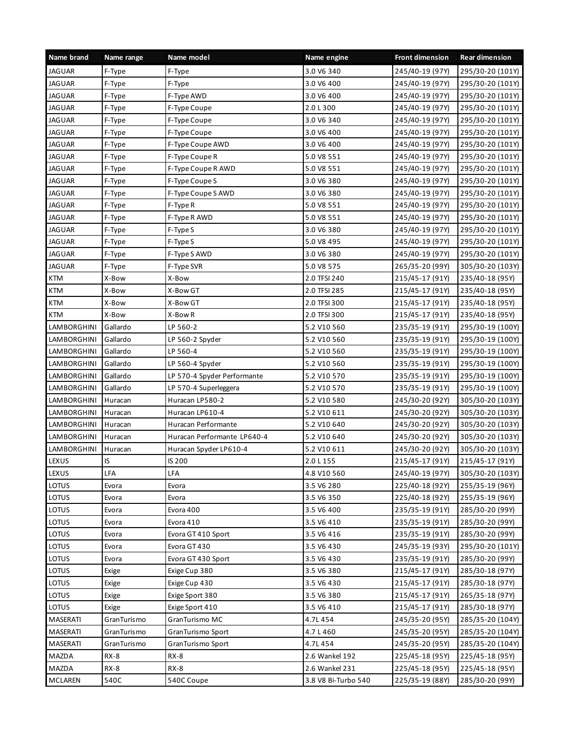| Name brand     | Name range  | Name model                  | Name engine         | <b>Front dimension</b> | <b>Rear dimension</b> |
|----------------|-------------|-----------------------------|---------------------|------------------------|-----------------------|
| <b>JAGUAR</b>  | F-Type      | F-Type                      | 3.0 V6 340          | 245/40-19 (97Y)        | 295/30-20 (101Y)      |
| JAGUAR         | F-Type      | F-Type                      | 3.0 V6 400          | 245/40-19 (97Y)        | 295/30-20 (101Y)      |
| <b>JAGUAR</b>  | F-Type      | F-Type AWD                  | 3.0 V6 400          | 245/40-19 (97Y)        | 295/30-20 (101Y)      |
| <b>JAGUAR</b>  | F-Type      | F-Type Coupe                | 2.0 L 300           | 245/40-19 (97Y)        | 295/30-20 (101Y)      |
| <b>JAGUAR</b>  | F-Type      | F-Type Coupe                | 3.0 V6 340          | 245/40-19 (97Y)        | 295/30-20 (101Y)      |
| <b>JAGUAR</b>  | F-Type      | F-Type Coupe                | 3.0 V6 400          | 245/40-19 (97Y)        | 295/30-20 (101Y)      |
| <b>JAGUAR</b>  | F-Type      | F-Type Coupe AWD            | 3.0 V6 400          | 245/40-19 (97Y)        | 295/30-20 (101Y)      |
| <b>JAGUAR</b>  | F-Type      | F-Type Coupe R              | 5.0 V8 551          | 245/40-19 (97Y)        | 295/30-20 (101Y)      |
| <b>JAGUAR</b>  | F-Type      | F-Type Coupe R AWD          | 5.0 V8 551          | 245/40-19 (97Y)        | 295/30-20 (101Y)      |
| JAGUAR         | F-Type      | F-Type Coupe S              | 3.0 V6 380          | 245/40-19 (97Y)        | 295/30-20 (101Y)      |
| <b>JAGUAR</b>  | F-Type      | F-Type Coupe S AWD          | 3.0 V6 380          | 245/40-19 (97Y)        | 295/30-20 (101Y)      |
| <b>JAGUAR</b>  | F-Type      | F-Type R                    | 5.0 V8 551          | 245/40-19 (97Y)        | 295/30-20 (101Y)      |
| JAGUAR         | F-Type      | F-Type R AWD                | 5.0 V8 551          | 245/40-19 (97Y)        | 295/30-20 (101Y)      |
| <b>JAGUAR</b>  | F-Type      | F-Type S                    | 3.0 V6 380          | 245/40-19 (97Y)        | 295/30-20 (101Y)      |
| <b>JAGUAR</b>  | F-Type      | F-Type S                    | 5.0 V8 495          | 245/40-19 (97Y)        | 295/30-20 (101Y)      |
| JAGUAR         | F-Type      | F-Type S AWD                | 3.0 V6 380          | 245/40-19 (97Y)        | 295/30-20 (101Y)      |
| <b>JAGUAR</b>  | F-Type      | F-Type SVR                  | 5.0 V8 575          | 265/35-20 (99Y)        | 305/30-20 (103Y)      |
| <b>KTM</b>     | X-Bow       | X-Bow                       | 2.0 TFSI 240        | 215/45-17 (91Y)        | 235/40-18 (95Y)       |
| <b>KTM</b>     | X-Bow       | X-Bow GT                    | 2.0 TFSI 285        | 215/45-17 (91Y)        | 235/40-18 (95Y)       |
| <b>KTM</b>     | X-Bow       | X-Bow GT                    | 2.0 TFSI 300        | 215/45-17 (91Y)        | 235/40-18 (95Y)       |
| <b>KTM</b>     | X-Bow       | X-Bow R                     | 2.0 TFSI 300        | 215/45-17 (91Y)        | 235/40-18 (95Y)       |
| LAMBORGHINI    | Gallardo    | LP 560-2                    | 5.2 V10 560         | 235/35-19 (91Y)        | 295/30-19 (100Y)      |
| LAMBORGHINI    | Gallardo    | LP 560-2 Spyder             | 5.2 V10 560         | 235/35-19 (91Y)        | 295/30-19 (100Y)      |
| LAMBORGHINI    | Gallardo    | LP 560-4                    | 5.2 V10 560         | 235/35-19 (91Y)        | 295/30-19 (100Y)      |
| LAMBORGHINI    | Gallardo    | LP 560-4 Spyder             | 5.2 V10 560         | 235/35-19 (91Y)        | 295/30-19 (100Y)      |
| LAMBORGHINI    | Gallardo    | LP 570-4 Spyder Performante | 5.2 V10 570         | 235/35-19 (91Y)        | 295/30-19 (100Y)      |
| LAMBORGHINI    | Gallardo    | LP 570-4 Superleggera       | 5.2 V10 570         | 235/35-19 (91Y)        | 295/30-19 (100Y)      |
| LAMBORGHINI    | Huracan     | Huracan LP580-2             | 5.2 V10 580         | 245/30-20 (92Y)        | 305/30-20 (103Y)      |
| LAMBORGHINI    | Huracan     | Huracan LP610-4             | 5.2 V10 611         | 245/30-20 (92Y)        | 305/30-20 (103Y)      |
| LAMBORGHINI    | Huracan     | Huracan Performante         | 5.2 V10 640         | 245/30-20 (92Y)        | 305/30-20 (103Y)      |
| LAMBORGHINI    | Huracan     | Huracan Performante LP640-4 | 5.2 V10 640         | 245/30-20 (92Y)        | 305/30-20 (103Y)      |
| LAMBORGHINI    | Huracan     | Huracan Spyder LP610-4      | 5.2 V10 611         | 245/30-20 (92Y)        | 305/30-20 (103Y)      |
| LEXUS          | IS          | IS 200                      | 2.0 L 155           | 215/45-17 (91Y)        | 215/45-17 (91Y)       |
| LEXUS          | LFA         | LFA                         | 4.8 V10 560         | 245/40-19 (97Y)        | 305/30-20 (103Y)      |
| LOTUS          | Evora       | Evora                       | 3.5 V6 280          | 225/40-18 (92Y)        | 255/35-19 (96Y)       |
| LOTUS          | Evora       | Evora                       | 3.5 V6 350          | 225/40-18 (92Y)        | 255/35-19 (96Y)       |
| LOTUS          | Evora       | Evora 400                   | 3.5 V6 400          | 235/35-19 (91Y)        | 285/30-20 (99Y)       |
| LOTUS          | Evora       | Evora 410                   | 3.5 V6 410          | 235/35-19 (91Y)        | 285/30-20 (99Y)       |
| LOTUS          | Evora       | Evora GT 410 Sport          | 3.5 V6 416          | 235/35-19 (91Y)        | 285/30-20 (99Y)       |
| LOTUS          | Evora       | Evora GT 430                | 3.5 V6 430          | 245/35-19 (93Y)        | 295/30-20 (101Y)      |
| <b>LOTUS</b>   | Evora       | Evora GT 430 Sport          | 3.5 V6 430          | 235/35-19 (91Y)        | 285/30-20 (99Y)       |
| LOTUS          | Exige       | Exige Cup 380               | 3.5 V6 380          | 215/45-17 (91Y)        | 285/30-18 (97Y)       |
| LOTUS          | Exige       | Exige Cup 430               | 3.5 V6 430          | 215/45-17 (91Y)        | 285/30-18 (97Y)       |
| LOTUS          | Exige       | Exige Sport 380             | 3.5 V6 380          | 215/45-17 (91Y)        | 265/35-18 (97Y)       |
| LOTUS          | Exige       | Exige Sport 410             | 3.5 V6 410          | 215/45-17 (91Y)        | 285/30-18 (97Y)       |
| MASERATI       | GranTurismo | GranTurismo MC              | 4.7L 454            | 245/35-20 (95Y)        | 285/35-20 (104Y)      |
| MASERATI       | GranTurismo | GranTurismo Sport           | 4.7 L 460           | 245/35-20 (95Y)        | 285/35-20 (104Y)      |
| MASERATI       | GranTurismo | GranTurismo Sport           | 4.7L 454            | 245/35-20 (95Y)        | 285/35-20 (104Y)      |
| MAZDA          | RX-8        | $RX-8$                      | 2.6 Wankel 192      | 225/45-18 (95Y)        | 225/45-18 (95Y)       |
| MAZDA          | $RX-8$      | RX-8                        | 2.6 Wankel 231      | 225/45-18 (95Y)        | 225/45-18 (95Y)       |
| <b>MCLAREN</b> | 540C        | 540C Coupe                  | 3.8 V8 Bi-Turbo 540 | 225/35-19 (88Y)        | 285/30-20 (99Y)       |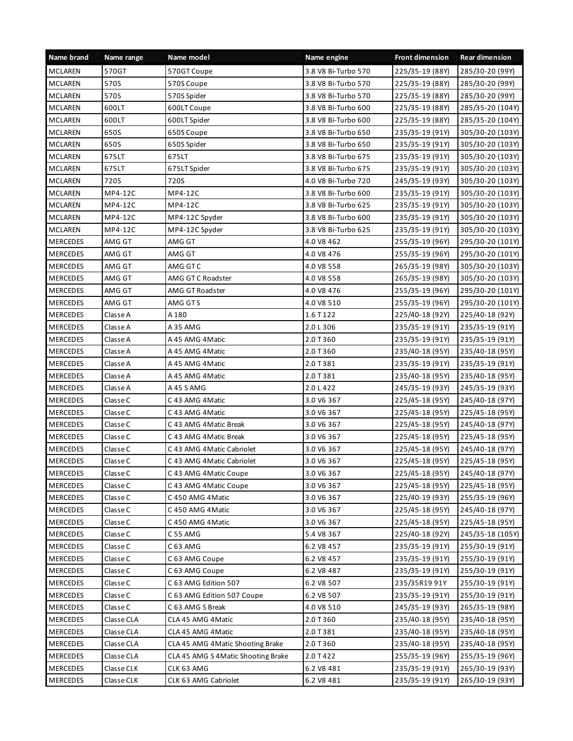| Name brand      | Name range | Name model                          | Name engine         | <b>Front dimension</b> | <b>Rear dimension</b> |
|-----------------|------------|-------------------------------------|---------------------|------------------------|-----------------------|
| <b>MCLAREN</b>  | 570GT      | 570GT Coupe                         | 3.8 V8 Bi-Turbo 570 | 225/35-19 (88Y)        | 285/30-20 (99Y)       |
| <b>MCLAREN</b>  | 570S       | 570S Coupe                          | 3.8 V8 Bi-Turbo 570 | 225/35-19 (88Y)        | 285/30-20 (99Y)       |
| <b>MCLAREN</b>  | 570S       | 570S Spider                         | 3.8 V8 Bi-Turbo 570 | 225/35-19 (88Y)        | 285/30-20 (99Y)       |
| <b>MCLAREN</b>  | 600LT      | 600LT Coupe                         | 3.8 V8 Bi-Turbo 600 | 225/35-19 (88Y)        | 285/35-20 (104Y)      |
| <b>MCLAREN</b>  | 600LT      | 600LT Spider                        | 3.8 V8 Bi-Turbo 600 | 225/35-19 (88Y)        | 285/35-20 (104Y)      |
| <b>MCLAREN</b>  | 650S       | 650S Coupe                          | 3.8 V8 Bi-Turbo 650 | 235/35-19 (91Y)        | 305/30-20 (103Y)      |
| <b>MCLAREN</b>  | 650S       | 650S Spider                         | 3.8 V8 Bi-Turbo 650 | 235/35-19 (91Y)        | 305/30-20 (103Y)      |
| <b>MCLAREN</b>  | 675LT      | 675LT                               | 3.8 V8 Bi-Turbo 675 | 235/35-19 (91Y)        | 305/30-20 (103Y)      |
| <b>MCLAREN</b>  | 675LT      | 675LT Spider                        | 3.8 V8 Bi-Turbo 675 | 235/35-19 (91Y)        | 305/30-20 (103Y)      |
| <b>MCLAREN</b>  | 720S       | 720S                                | 4.0 V8 Bi-Turbo 720 | 245/35-19 (93Y)        | 305/30-20 (103Y)      |
| <b>MCLAREN</b>  | MP4-12C    | MP4-12C                             | 3.8 V8 Bi-Turbo 600 | 235/35-19 (91Y)        | 305/30-20 (103Y)      |
| <b>MCLAREN</b>  | MP4-12C    | MP4-12C                             | 3.8 V8 Bi-Turbo 625 | 235/35-19 (91Y)        | 305/30-20 (103Y)      |
| MCLAREN         | MP4-12C    | MP4-12C Spyder                      | 3.8 V8 Bi-Turbo 600 | 235/35-19 (91Y)        | 305/30-20 (103Y)      |
| <b>MCLAREN</b>  | MP4-12C    | MP4-12C Spyder                      | 3.8 V8 Bi-Turbo 625 | 235/35-19 (91Y)        | 305/30-20 (103Y)      |
| <b>MERCEDES</b> | AMG GT     | AMG GT                              | 4.0 V8 462          | 255/35-19 (96Y)        | 295/30-20 (101Y)      |
| <b>MERCEDES</b> | AMG GT     | AMG GT                              | 4.0 V8 476          | 255/35-19 (96Y)        | 295/30-20 (101Y)      |
| <b>MERCEDES</b> | AMG GT     | AMG GT C                            | 4.0 V8 558          | 265/35-19 (98Y)        | 305/30-20 (103Y)      |
| <b>MERCEDES</b> | AMG GT     | AMG GT C Roadster                   | 4.0 V8 558          | 265/35-19 (98Y)        | 305/30-20 (103Y)      |
| <b>MERCEDES</b> | AMG GT     | AMG GT Roadster                     | 4.0 V8 476          | 255/35-19 (96Y)        | 295/30-20 (101Y)      |
| <b>MERCEDES</b> | AMG GT     | AMG GT S                            | 4.0 V8 510          | 255/35-19 (96Y)        | 295/30-20 (101Y)      |
| <b>MERCEDES</b> | Classe A   | A 180                               | 1.6 T 122           | 225/40-18 (92Y)        | 225/40-18 (92Y)       |
| <b>MERCEDES</b> | Classe A   | A 35 AMG                            | 2.0 L 306           | 235/35-19 (91Y)        | 235/35-19 (91Y)       |
| <b>MERCEDES</b> | Classe A   | A 45 AMG 4 Matic                    | 2.0 T 360           | 235/35-19 (91Y)        | 235/35-19 (91Y)       |
| <b>MERCEDES</b> | Classe A   | A 45 AMG 4 Matic                    | 2.0 T 360           | 235/40-18 (95Y)        | 235/40-18 (95Y)       |
| <b>MERCEDES</b> | Classe A   | A 45 AMG 4 Matic                    | 2.0 T 381           | 235/35-19 (91Y)        | 235/35-19 (91Y)       |
| <b>MERCEDES</b> | Classe A   | A 45 AMG 4 Matic                    | 2.0 T 381           | 235/40-18 (95Y)        | 235/40-18 (95Y)       |
| <b>MERCEDES</b> | Classe A   | A 45 S AMG                          | 2.0 L 422           | 245/35-19 (93Y)        | 245/35-19 (93Y)       |
| <b>MERCEDES</b> | Classe C   | C 43 AMG 4 Matic                    | 3.0 V6 367          | 225/45-18 (95Y)        | 245/40-18 (97Y)       |
| <b>MERCEDES</b> | Classe C   | C 43 AMG 4 Matic                    | 3.0 V6 367          | 225/45-18 (95Y)        | 225/45-18 (95Y)       |
| <b>MERCEDES</b> | Classe C   | C 43 AMG 4 Matic Break              | 3.0 V6 367          | 225/45-18 (95Y)        | 245/40-18 (97Y)       |
| <b>MERCEDES</b> | Classe C   | C 43 AMG 4 Matic Break              | 3.0 V6 367          | 225/45-18 (95Y)        | 225/45-18 (95Y)       |
| <b>MERCEDES</b> | Classe C   | C 43 AMG 4 Matic Cabriolet          | 3.0 V6 367          | 225/45-18 (95Y)        | 245/40-18 (97Y)       |
| <b>MERCEDES</b> | Classe C   | C 43 AMG 4 Matic Cabriolet          | 3.0 V6 367          | 225/45-18 (95Y)        | 225/45-18 (95Y)       |
| <b>MERCEDES</b> | Classe C   | C 43 AMG 4 Matic Coupe              | 3.0 V6 367          | 225/45-18 (95Y)        | 245/40-18 (97Y)       |
| <b>MERCEDES</b> | Classe C   | C 43 AMG 4 Matic Coupe              | 3.0 V6 367          | 225/45-18 (95Y)        | 225/45-18 (95Y)       |
| <b>MERCEDES</b> | Classe C   | C 450 AMG 4Matic                    | 3.0 V6 367          | 225/40-19 (93Y)        | 255/35-19 (96Y)       |
| <b>MERCEDES</b> | Classe C   | C 450 AMG 4 Matic                   | 3.0 V6 367          | 225/45-18 (95Y)        | 245/40-18 (97Y)       |
| <b>MERCEDES</b> | Classe C   | C 450 AMG 4 Matic                   | 3.0 V6 367          | 225/45-18 (95Y)        | 225/45-18 (95Y)       |
| <b>MERCEDES</b> | Classe C   | C 55 AMG                            | 5.4 V8 367          | 225/40-18 (92Y)        | 245/35-18 (105Y)      |
| MERCEDES        | Classe C   | C 63 AMG                            | 6.2 V8 457          | 235/35-19 (91Y)        | 255/30-19 (91Y)       |
| <b>MERCEDES</b> | Classe C   | C 63 AMG Coupe                      | 6.2 V8 457          | 235/35-19 (91Y)        | 255/30-19 (91Y)       |
| <b>MERCEDES</b> | Classe C   | C 63 AMG Coupe                      | 6.2 V8 487          | 235/35-19 (91Y)        | 255/30-19 (91Y)       |
| <b>MERCEDES</b> | Classe C   | C 63 AMG Edition 507                | 6.2 V8 507          | 235/35R19 91Y          | 255/30-19 (91Y)       |
| <b>MERCEDES</b> | Classe C   | C 63 AMG Edition 507 Coupe          | 6.2 V8 507          | 235/35-19 (91Y)        | 255/30-19 (91Y)       |
| MERCEDES        | Classe C   | C 63 AMG S Break                    | 4.0 V8 510          | 245/35-19 (93Y)        | 265/35-19 (98Y)       |
| <b>MERCEDES</b> | Classe CLA | CLA 45 AMG 4 Matic                  | 2.0 T 360           | 235/40-18 (95Y)        | 235/40-18 (95Y)       |
| <b>MERCEDES</b> | Classe CLA | CLA 45 AMG 4 Matic                  | 2.0 T 381           | 235/40-18 (95Y)        | 235/40-18 (95Y)       |
| <b>MERCEDES</b> | Classe CLA | CLA 45 AMG 4 Matic Shooting Brake   | 2.0 T 360           | 235/40-18 (95Y)        | 235/40-18 (95Y)       |
| <b>MERCEDES</b> | Classe CLA | CLA 45 AMG S 4 Matic Shooting Brake | 2.0 T 422           | 255/35-19 (96Y)        | 255/35-19 (96Y)       |
| <b>MERCEDES</b> | Classe CLK | CLK 63 AMG                          | 6.2 V8 481          | 235/35-19 (91Y)        | 265/30-19 (93Y)       |
| <b>MERCEDES</b> | Classe CLK | CLK 63 AMG Cabriolet                | 6.2 V8 481          | 235/35-19 (91Y)        | 265/30-19 (93Y)       |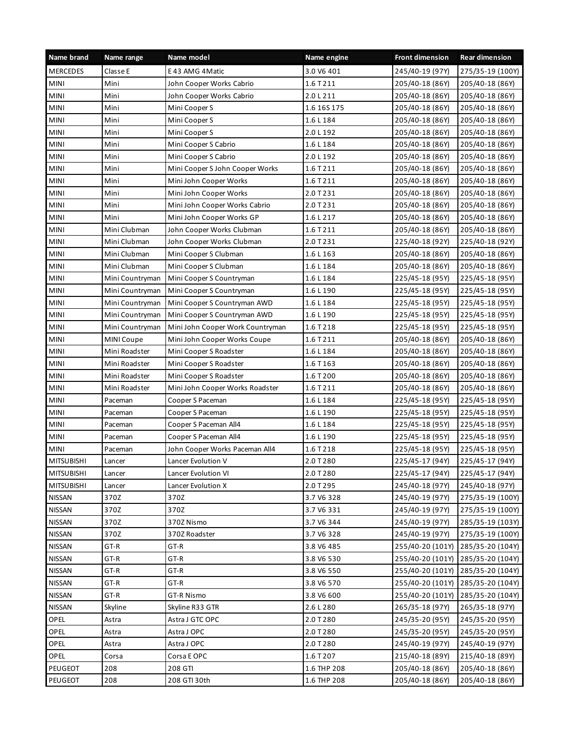| Name brand        | Name range      | Name model                       | Name engine  | <b>Front dimension</b> | <b>Rear dimension</b> |
|-------------------|-----------------|----------------------------------|--------------|------------------------|-----------------------|
| <b>MERCEDES</b>   | Classe E        | E 43 AMG 4 Matic                 | 3.0 V6 401   | 245/40-19 (97Y)        | 275/35-19 (100Y)      |
| <b>MINI</b>       | Mini            | John Cooper Works Cabrio         | 1.6 T 211    | 205/40-18 (86Y)        | 205/40-18 (86Y)       |
| <b>MINI</b>       | Mini            | John Cooper Works Cabrio         | 2.0 L 211    | 205/40-18 (86Y)        | 205/40-18 (86Y)       |
| <b>MINI</b>       | Mini            | Mini Cooper S                    | 1.6 16 5 175 | 205/40-18 (86Y)        | 205/40-18 (86Y)       |
| <b>MINI</b>       | Mini            | Mini Cooper S                    | 1.6 L 184    | 205/40-18 (86Y)        | 205/40-18 (86Y)       |
| <b>MINI</b>       | Mini            | Mini Cooper S                    | 2.0 L 192    | 205/40-18 (86Y)        | 205/40-18 (86Y)       |
| <b>MINI</b>       | Mini            | Mini Cooper S Cabrio             | 1.6 L 184    | 205/40-18 (86Y)        | 205/40-18 (86Y)       |
| <b>MINI</b>       | Mini            | Mini Cooper S Cabrio             | 2.0 L 192    | 205/40-18 (86Y)        | 205/40-18 (86Y)       |
| <b>MINI</b>       | Mini            | Mini Cooper S John Cooper Works  | 1.6 T 211    | 205/40-18 (86Y)        | 205/40-18 (86Y)       |
| <b>MINI</b>       | Mini            | Mini John Cooper Works           | 1.6 T 211    | 205/40-18 (86Y)        | 205/40-18 (86Y)       |
| <b>MINI</b>       | Mini            | Mini John Cooper Works           | 2.0 T 231    | 205/40-18 (86Y)        | 205/40-18 (86Y)       |
| <b>MINI</b>       | Mini            | Mini John Cooper Works Cabrio    | 2.0 T 231    | 205/40-18 (86Y)        | 205/40-18 (86Y)       |
| <b>MINI</b>       | Mini            | Mini John Cooper Works GP        | 1.6 L 217    | 205/40-18 (86Y)        | 205/40-18 (86Y)       |
| <b>MINI</b>       | Mini Clubman    | John Cooper Works Clubman        | 1.6 T 211    | 205/40-18 (86Y)        | 205/40-18 (86Y)       |
| <b>MINI</b>       | Mini Clubman    | John Cooper Works Clubman        | 2.0 T 231    | 225/40-18 (92Y)        | 225/40-18 (92Y)       |
| <b>MINI</b>       | Mini Clubman    | Mini Cooper S Clubman            | 1.6 L 163    | 205/40-18 (86Y)        | 205/40-18 (86Y)       |
| <b>MINI</b>       | Mini Clubman    | Mini Cooper S Clubman            | 1.6 L 184    | 205/40-18 (86Y)        | 205/40-18 (86Y)       |
| <b>MINI</b>       | Mini Countryman | Mini Cooper S Countryman         | 1.6 L 184    | 225/45-18 (95Y)        | 225/45-18 (95Y)       |
| <b>MINI</b>       | Mini Countryman | Mini Cooper S Countryman         | 1.6 L 190    | 225/45-18 (95Y)        | 225/45-18 (95Y)       |
| <b>MINI</b>       | Mini Countryman | Mini Cooper S Countryman AWD     | 1.6 L 184    | 225/45-18 (95Y)        | 225/45-18 (95Y)       |
| <b>MINI</b>       | Mini Countryman | Mini Cooper S Countryman AWD     | 1.6 L 190    | 225/45-18 (95Y)        | 225/45-18 (95Y)       |
| <b>MINI</b>       | Mini Countryman | Mini John Cooper Work Countryman | 1.6 T 218    | 225/45-18 (95Y)        | 225/45-18 (95Y)       |
| <b>MINI</b>       | MINI Coupe      | Mini John Cooper Works Coupe     | 1.6 T 211    | 205/40-18 (86Y)        | 205/40-18 (86Y)       |
| <b>MINI</b>       | Mini Roadster   | Mini Cooper S Roadster           | 1.6 L 184    | 205/40-18 (86Y)        | 205/40-18 (86Y)       |
| <b>MINI</b>       | Mini Roadster   | Mini Cooper S Roadster           | 1.6 T 163    | 205/40-18 (86Y)        | 205/40-18 (86Y)       |
| <b>MINI</b>       | Mini Roadster   | Mini Cooper S Roadster           | 1.6 T 200    | 205/40-18 (86Y)        | 205/40-18 (86Y)       |
| <b>MINI</b>       | Mini Roadster   | Mini John Cooper Works Roadster  | 1.6 T 211    | 205/40-18 (86Y)        | 205/40-18 (86Y)       |
| <b>MINI</b>       | Paceman         | Cooper S Paceman                 | 1.6 L 184    | 225/45-18 (95Y)        | 225/45-18 (95Y)       |
| <b>MINI</b>       | Paceman         | Cooper S Paceman                 | 1.6 L 190    | 225/45-18 (95Y)        | 225/45-18 (95Y)       |
| <b>MINI</b>       | Paceman         | Cooper S Paceman All4            | 1.6 L 184    | 225/45-18 (95Y)        | 225/45-18 (95Y)       |
| <b>MINI</b>       | Paceman         | Cooper S Paceman All4            | 1.6 L 190    | 225/45-18 (95Y)        | 225/45-18 (95Y)       |
| <b>MINI</b>       | Paceman         | John Cooper Works Paceman All4   | 1.6 T 218    | 225/45-18 (95Y)        | 225/45-18 (95Y)       |
| <b>MITSUBISHI</b> | Lancer          | Lancer Evolution V               | 2.0 T 280    | 225/45-17 (94Y)        | 225/45-17 (94Y)       |
| <b>MITSUBISHI</b> | Lancer          | Lancer Evolution VI              | 2.0 T 280    | 225/45-17 (94Y)        | 225/45-17 (94Y)       |
| <b>MITSUBISHI</b> | Lancer          | Lancer Evolution X               | 2.0 T 295    | 245/40-18 (97Y)        | 245/40-18 (97Y)       |
| <b>NISSAN</b>     | 370Z            | 370Z                             | 3.7 V6 328   | 245/40-19 (97Y)        | 275/35-19 (100Y)      |
| <b>NISSAN</b>     | 370Z            | 370Z                             | 3.7 V6 331   | 245/40-19 (97Y)        | 275/35-19 (100Y)      |
| <b>NISSAN</b>     | 370Z            | 370Z Nismo                       | 3.7 V6 344   | 245/40-19 (97Y)        | 285/35-19 (103Y)      |
| NISSAN            | 370Z            | 370Z Roadster                    | 3.7 V6 328   | 245/40-19 (97Y)        | 275/35-19 (100Y)      |
| <b>NISSAN</b>     | GT-R            | GT-R                             | 3.8 V6 485   | 255/40-20 (101Y)       | 285/35-20 (104Y)      |
| <b>NISSAN</b>     | GT-R            | GT-R                             | 3.8 V6 530   | 255/40-20 (101Y)       | 285/35-20 (104Y)      |
| NISSAN            | GT-R            | GT-R                             | 3.8 V6 550   | 255/40-20 (101Y)       | 285/35-20 (104Y)      |
| <b>NISSAN</b>     | GT-R            | GT-R                             | 3.8 V6 570   | 255/40-20 (101Y)       | 285/35-20 (104Y)      |
| <b>NISSAN</b>     | GT-R            | GT-R Nismo                       | 3.8 V6 600   | 255/40-20 (101Y)       | 285/35-20 (104Y)      |
| NISSAN            | Skyline         | Skyline R33 GTR                  | 2.6 L 280    | 265/35-18 (97Y)        | 265/35-18 (97Y)       |
| OPEL              | Astra           | Astra J GTC OPC                  | 2.0 T 280    | 245/35-20 (95Y)        | 245/35-20 (95Y)       |
| OPEL              | Astra           | Astra J OPC                      | 2.0 T 280    | 245/35-20 (95Y)        | 245/35-20 (95Y)       |
| OPEL              | Astra           | Astra J OPC                      | 2.0 T 280    | 245/40-19 (97Y)        | 245/40-19 (97Y)       |
| OPEL              | Corsa           | Corsa E OPC                      | 1.6 T 207    | 215/40-18 (89Y)        | 215/40-18 (89Y)       |
| PEUGEOT           | 208             | 208 GTI                          | 1.6 THP 208  | 205/40-18 (86Y)        | 205/40-18 (86Y)       |
| PEUGEOT           | 208             | 208 GTI 30th                     | 1.6 THP 208  | 205/40-18 (86Y)        | 205/40-18 (86Y)       |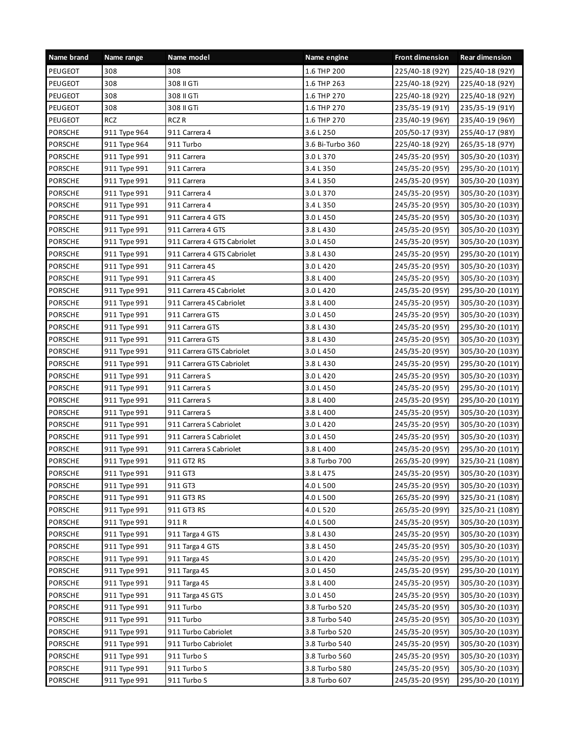| Name brand     | Name range   | Name model                  | Name engine      | <b>Front dimension</b> | <b>Rear dimension</b> |
|----------------|--------------|-----------------------------|------------------|------------------------|-----------------------|
| PEUGEOT        | 308          | 308                         | 1.6 THP 200      | 225/40-18 (92Y)        | 225/40-18 (92Y)       |
| PEUGEOT        | 308          | 308 II GTi                  | 1.6 THP 263      | 225/40-18 (92Y)        | 225/40-18 (92Y)       |
| PEUGEOT        | 308          | 308 II GTi                  | 1.6 THP 270      | 225/40-18 (92Y)        | 225/40-18 (92Y)       |
| PEUGEOT        | 308          | 308 II GTi                  | 1.6 THP 270      | 235/35-19 (91Y)        | 235/35-19 (91Y)       |
| PEUGEOT        | <b>RCZ</b>   | RCZ <sub>R</sub>            | 1.6 THP 270      | 235/40-19 (96Y)        | 235/40-19 (96Y)       |
| PORSCHE        | 911 Type 964 | 911 Carrera 4               | 3.6 L 250        | 205/50-17 (93Y)        | 255/40-17 (98Y)       |
| <b>PORSCHE</b> | 911 Type 964 | 911 Turbo                   | 3.6 Bi-Turbo 360 | 225/40-18 (92Y)        | 265/35-18 (97Y)       |
| <b>PORSCHE</b> | 911 Type 991 | 911 Carrera                 | 3.0 L 370        | 245/35-20 (95Y)        | 305/30-20 (103Y)      |
| <b>PORSCHE</b> | 911 Type 991 | 911 Carrera                 | 3.4 L 350        | 245/35-20 (95Y)        | 295/30-20 (101Y)      |
| <b>PORSCHE</b> | 911 Type 991 | 911 Carrera                 | 3.4 L 350        | 245/35-20 (95Y)        | 305/30-20 (103Y)      |
| PORSCHE        | 911 Type 991 | 911 Carrera 4               | 3.0 L 370        | 245/35-20 (95Y)        | 305/30-20 (103Y)      |
| <b>PORSCHE</b> | 911 Type 991 | 911 Carrera 4               | 3.4 L 350        | 245/35-20 (95Y)        | 305/30-20 (103Y)      |
| <b>PORSCHE</b> | 911 Type 991 | 911 Carrera 4 GTS           | 3.0 L 450        | 245/35-20 (95Y)        | 305/30-20 (103Y)      |
| <b>PORSCHE</b> | 911 Type 991 | 911 Carrera 4 GTS           | 3.8 L 430        | 245/35-20 (95Y)        | 305/30-20 (103Y)      |
| <b>PORSCHE</b> | 911 Type 991 | 911 Carrera 4 GTS Cabriolet | 3.0 L 450        | 245/35-20 (95Y)        | 305/30-20 (103Y)      |
| <b>PORSCHE</b> | 911 Type 991 | 911 Carrera 4 GTS Cabriolet | 3.8 L 430        | 245/35-20 (95Y)        | 295/30-20 (101Y)      |
| PORSCHE        | 911 Type 991 | 911 Carrera 4S              | 3.0 L 420        | 245/35-20 (95Y)        | 305/30-20 (103Y)      |
| <b>PORSCHE</b> | 911 Type 991 | 911 Carrera 4S              | 3.8 L 400        | 245/35-20 (95Y)        | 305/30-20 (103Y)      |
| <b>PORSCHE</b> | 911 Type 991 | 911 Carrera 4S Cabriolet    | 3.0 L 420        | 245/35-20 (95Y)        | 295/30-20 (101Y)      |
| <b>PORSCHE</b> | 911 Type 991 | 911 Carrera 4S Cabriolet    | 3.8 L 400        | 245/35-20 (95Y)        | 305/30-20 (103Y)      |
| <b>PORSCHE</b> | 911 Type 991 | 911 Carrera GTS             | 3.0 L 450        | 245/35-20 (95Y)        | 305/30-20 (103Y)      |
| <b>PORSCHE</b> | 911 Type 991 | 911 Carrera GTS             | 3.8 L 430        | 245/35-20 (95Y)        | 295/30-20 (101Y)      |
| PORSCHE        | 911 Type 991 | 911 Carrera GTS             | 3.8 L 430        | 245/35-20 (95Y)        | 305/30-20 (103Y)      |
| PORSCHE        | 911 Type 991 | 911 Carrera GTS Cabriolet   | 3.0 L 450        | 245/35-20 (95Y)        | 305/30-20 (103Y)      |
| <b>PORSCHE</b> | 911 Type 991 | 911 Carrera GTS Cabriolet   | 3.8 L 430        | 245/35-20 (95Y)        | 295/30-20 (101Y)      |
| <b>PORSCHE</b> | 911 Type 991 | 911 Carrera S               | 3.0 L 420        | 245/35-20 (95Y)        | 305/30-20 (103Y)      |
| <b>PORSCHE</b> | 911 Type 991 | 911 Carrera S               | 3.0 L 450        | 245/35-20 (95Y)        | 295/30-20 (101Y)      |
| <b>PORSCHE</b> | 911 Type 991 | 911 Carrera S               | 3.8 L 400        | 245/35-20 (95Y)        | 295/30-20 (101Y)      |
| PORSCHE        | 911 Type 991 | 911 Carrera S               | 3.8 L 400        | 245/35-20 (95Y)        | 305/30-20 (103Y)      |
| <b>PORSCHE</b> | 911 Type 991 | 911 Carrera S Cabriolet     | 3.0 L 420        | 245/35-20 (95Y)        | 305/30-20 (103Y)      |
| <b>PORSCHE</b> | 911 Type 991 | 911 Carrera S Cabriolet     | 3.0 L 450        | 245/35-20 (95Y)        | 305/30-20 (103Y)      |
| <b>PORSCHE</b> | 911 Type 991 | 911 Carrera S Cabriolet     | 3.8 L 400        | 245/35-20 (95Y)        | 295/30-20 (101Y)      |
| <b>PORSCHE</b> | 911 Type 991 | 911 GT2 RS                  | 3.8 Turbo 700    | 265/35-20 (99Y)        | 325/30-21 (108Y)      |
| PORSCHE        | 911 Type 991 | 911 GT3                     | 3.8 L 475        | 245/35-20 (95Y)        | 305/30-20 (103Y)      |
| PORSCHE        | 911 Type 991 | 911 GT3                     | 4.0 L 500        | 245/35-20 (95Y)        | 305/30-20 (103Y)      |
| PORSCHE        | 911 Type 991 | 911 GT3 RS                  | 4.0 L 500        | 265/35-20 (99Y)        | 325/30-21 (108Y)      |
| <b>PORSCHE</b> | 911 Type 991 | 911 GT3 RS                  | 4.0 L 520        | 265/35-20 (99Y)        | 325/30-21 (108Y)      |
| PORSCHE        | 911 Type 991 | 911R                        | 4.0 L 500        | 245/35-20 (95Y)        | 305/30-20 (103Y)      |
| PORSCHE        | 911 Type 991 | 911 Targa 4 GTS             | 3.8 L 430        | 245/35-20 (95Y)        | 305/30-20 (103Y)      |
| PORSCHE        | 911 Type 991 | 911 Targa 4 GTS             | 3.8 L 450        | 245/35-20 (95Y)        | 305/30-20 (103Y)      |
| PORSCHE        | 911 Type 991 | 911 Targa 4S                | 3.0 L 420        | 245/35-20 (95Y)        | 295/30-20 (101Y)      |
| PORSCHE        | 911 Type 991 | 911 Targa 4S                | 3.0 L 450        | 245/35-20 (95Y)        | 295/30-20 (101Y)      |
| PORSCHE        | 911 Type 991 | 911 Targa 4S                | 3.8 L 400        | 245/35-20 (95Y)        | 305/30-20 (103Y)      |
| PORSCHE        | 911 Type 991 | 911 Targa 4S GTS            | 3.0 L 450        | 245/35-20 (95Y)        | 305/30-20 (103Y)      |
| PORSCHE        | 911 Type 991 | 911 Turbo                   | 3.8 Turbo 520    | 245/35-20 (95Y)        | 305/30-20 (103Y)      |
| PORSCHE        | 911 Type 991 | 911 Turbo                   | 3.8 Turbo 540    | 245/35-20 (95Y)        | 305/30-20 (103Y)      |
| PORSCHE        | 911 Type 991 | 911 Turbo Cabriolet         | 3.8 Turbo 520    | 245/35-20 (95Y)        | 305/30-20 (103Y)      |
| PORSCHE        | 911 Type 991 | 911 Turbo Cabriolet         | 3.8 Turbo 540    | 245/35-20 (95Y)        | 305/30-20 (103Y)      |
| PORSCHE        | 911 Type 991 | 911 Turbo S                 | 3.8 Turbo 560    | 245/35-20 (95Y)        | 305/30-20 (103Y)      |
| PORSCHE        | 911 Type 991 | 911 Turbo S                 | 3.8 Turbo 580    | 245/35-20 (95Y)        | 305/30-20 (103Y)      |
| PORSCHE        | 911 Type 991 | 911 Turbo S                 | 3.8 Turbo 607    | 245/35-20 (95Y)        | 295/30-20 (101Y)      |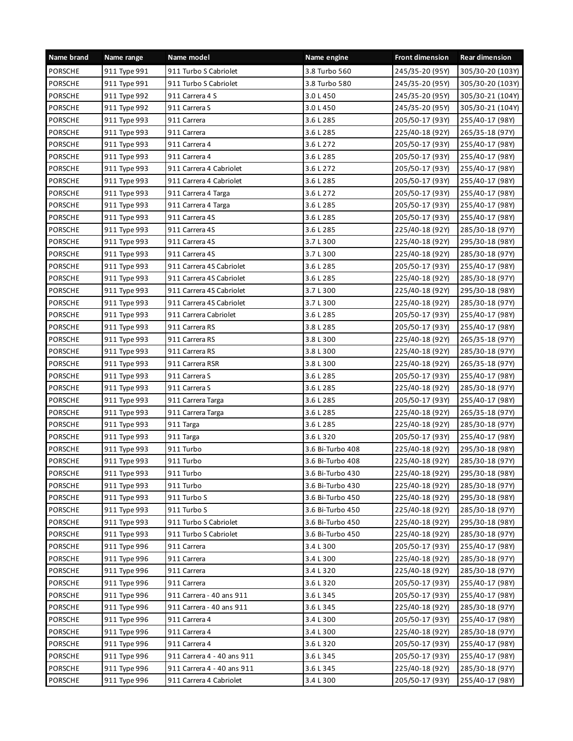| Name brand     | Name range   | Name model                 | Name engine      | <b>Front dimension</b> | <b>Rear dimension</b> |
|----------------|--------------|----------------------------|------------------|------------------------|-----------------------|
| <b>PORSCHE</b> | 911 Type 991 | 911 Turbo S Cabriolet      | 3.8 Turbo 560    | 245/35-20 (95Y)        | 305/30-20 (103Y)      |
| <b>PORSCHE</b> | 911 Type 991 | 911 Turbo S Cabriolet      | 3.8 Turbo 580    | 245/35-20 (95Y)        | 305/30-20 (103Y)      |
| <b>PORSCHE</b> | 911 Type 992 | 911 Carrera 4 S            | 3.0 L 450        | 245/35-20 (95Y)        | 305/30-21 (104Y)      |
| <b>PORSCHE</b> | 911 Type 992 | 911 Carrera S              | 3.0 L 450        | 245/35-20 (95Y)        | 305/30-21 (104Y)      |
| <b>PORSCHE</b> | 911 Type 993 | 911 Carrera                | 3.6 L 285        | 205/50-17 (93Y)        | 255/40-17 (98Y)       |
| <b>PORSCHE</b> | 911 Type 993 | 911 Carrera                | 3.6 L 285        | 225/40-18 (92Y)        | 265/35-18 (97Y)       |
| <b>PORSCHE</b> | 911 Type 993 | 911 Carrera 4              | 3.6 L 272        | 205/50-17 (93Y)        | 255/40-17 (98Y)       |
| <b>PORSCHE</b> | 911 Type 993 | 911 Carrera 4              | 3.6 L 285        | 205/50-17 (93Y)        | 255/40-17 (98Y)       |
| <b>PORSCHE</b> | 911 Type 993 | 911 Carrera 4 Cabriolet    | 3.6 L 272        | 205/50-17 (93Y)        | 255/40-17 (98Y)       |
| <b>PORSCHE</b> | 911 Type 993 | 911 Carrera 4 Cabriolet    | 3.6 L 285        | 205/50-17 (93Y)        | 255/40-17 (98Y)       |
| PORSCHE        | 911 Type 993 | 911 Carrera 4 Targa        | 3.6 L 272        | 205/50-17 (93Y)        | 255/40-17 (98Y)       |
| <b>PORSCHE</b> | 911 Type 993 | 911 Carrera 4 Targa        | 3.6 L 285        | 205/50-17 (93Y)        | 255/40-17 (98Y)       |
| <b>PORSCHE</b> | 911 Type 993 | 911 Carrera 4S             | 3.6 L 285        | 205/50-17 (93Y)        | 255/40-17 (98Y)       |
| <b>PORSCHE</b> | 911 Type 993 | 911 Carrera 4S             | 3.6 L 285        | 225/40-18 (92Y)        | 285/30-18 (97Y)       |
| <b>PORSCHE</b> | 911 Type 993 | 911 Carrera 4S             | 3.7 L 300        | 225/40-18 (92Y)        | 295/30-18 (98Y)       |
| <b>PORSCHE</b> | 911 Type 993 | 911 Carrera 4S             | 3.7 L 300        | 225/40-18 (92Y)        | 285/30-18 (97Y)       |
| PORSCHE        | 911 Type 993 | 911 Carrera 4S Cabriolet   | 3.6 L 285        | 205/50-17 (93Y)        | 255/40-17 (98Y)       |
| <b>PORSCHE</b> | 911 Type 993 | 911 Carrera 4S Cabriolet   | 3.6 L 285        | 225/40-18 (92Y)        | 285/30-18 (97Y)       |
| <b>PORSCHE</b> | 911 Type 993 | 911 Carrera 4S Cabriolet   | 3.7 L 300        | 225/40-18 (92Y)        | 295/30-18 (98Y)       |
| <b>PORSCHE</b> | 911 Type 993 | 911 Carrera 4S Cabriolet   | 3.7 L 300        | 225/40-18 (92Y)        | 285/30-18 (97Y)       |
| PORSCHE        | 911 Type 993 | 911 Carrera Cabriolet      | 3.6 L 285        | 205/50-17 (93Y)        | 255/40-17 (98Y)       |
| PORSCHE        | 911 Type 993 | 911 Carrera RS             | 3.8 L 285        | 205/50-17 (93Y)        | 255/40-17 (98Y)       |
| <b>PORSCHE</b> | 911 Type 993 | 911 Carrera RS             | 3.8 L 300        | 225/40-18 (92Y)        | 265/35-18 (97Y)       |
| PORSCHE        | 911 Type 993 | 911 Carrera RS             | 3.8 L 300        | 225/40-18 (92Y)        | 285/30-18 (97Y)       |
| <b>PORSCHE</b> | 911 Type 993 | 911 Carrera RSR            | 3.8 L 300        | 225/40-18 (92Y)        | 265/35-18 (97Y)       |
| <b>PORSCHE</b> | 911 Type 993 | 911 Carrera S              | 3.6 L 285        | 205/50-17 (93Y)        | 255/40-17 (98Y)       |
| <b>PORSCHE</b> | 911 Type 993 | 911 Carrera S              | 3.6 L 285        | 225/40-18 (92Y)        | 285/30-18 (97Y)       |
| PORSCHE        | 911 Type 993 | 911 Carrera Targa          | 3.6 L 285        | 205/50-17 (93Y)        | 255/40-17 (98Y)       |
| <b>PORSCHE</b> | 911 Type 993 | 911 Carrera Targa          | 3.6 L 285        | 225/40-18 (92Y)        | 265/35-18 (97Y)       |
| <b>PORSCHE</b> | 911 Type 993 | 911 Targa                  | 3.6 L 285        | 225/40-18 (92Y)        | 285/30-18 (97Y)       |
| <b>PORSCHE</b> | 911 Type 993 | 911 Targa                  | 3.6 L 320        | 205/50-17 (93Y)        | 255/40-17 (98Y)       |
| <b>PORSCHE</b> | 911 Type 993 | 911 Turbo                  | 3.6 Bi-Turbo 408 | 225/40-18 (92Y)        | 295/30-18 (98Y)       |
| <b>PORSCHE</b> | 911 Type 993 | 911 Turbo                  | 3.6 Bi-Turbo 408 | 225/40-18 (92Y)        | 285/30-18 (97Y)       |
| PORSCHE        | 911 Type 993 | 911 Turbo                  | 3.6 Bi-Turbo 430 | 225/40-18 (92Y)        | 295/30-18 (98Y)       |
| PORSCHE        | 911 Type 993 | 911 Turbo                  | 3.6 Bi-Turbo 430 | 225/40-18 (92Y)        | 285/30-18 (97Y)       |
| PORSCHE        | 911 Type 993 | 911 Turbo S                | 3.6 Bi-Turbo 450 | 225/40-18 (92Y)        | 295/30-18 (98Y)       |
| PORSCHE        | 911 Type 993 | 911 Turbo S                | 3.6 Bi-Turbo 450 | 225/40-18 (92Y)        | 285/30-18 (97Y)       |
| PORSCHE        | 911 Type 993 | 911 Turbo S Cabriolet      | 3.6 Bi-Turbo 450 | 225/40-18 (92Y)        | 295/30-18 (98Y)       |
| PORSCHE        | 911 Type 993 | 911 Turbo S Cabriolet      | 3.6 Bi-Turbo 450 | 225/40-18 (92Y)        | 285/30-18 (97Y)       |
| PORSCHE        | 911 Type 996 | 911 Carrera                | 3.4 L 300        | 205/50-17 (93Y)        | 255/40-17 (98Y)       |
| PORSCHE        | 911 Type 996 | 911 Carrera                | 3.4 L 300        | 225/40-18 (92Y)        | 285/30-18 (97Y)       |
| PORSCHE        | 911 Type 996 | 911 Carrera                | 3.4 L 320        | 225/40-18 (92Y)        | 285/30-18 (97Y)       |
| PORSCHE        | 911 Type 996 | 911 Carrera                | 3.6 L 320        | 205/50-17 (93Y)        | 255/40-17 (98Y)       |
| PORSCHE        | 911 Type 996 | 911 Carrera - 40 ans 911   | 3.6 L 345        | 205/50-17 (93Y)        | 255/40-17 (98Y)       |
| PORSCHE        | 911 Type 996 | 911 Carrera - 40 ans 911   | 3.6 L 345        | 225/40-18 (92Y)        | 285/30-18 (97Y)       |
| PORSCHE        | 911 Type 996 | 911 Carrera 4              | 3.4 L 300        | 205/50-17 (93Y)        | 255/40-17 (98Y)       |
| PORSCHE        | 911 Type 996 | 911 Carrera 4              | 3.4 L 300        | 225/40-18 (92Y)        | 285/30-18 (97Y)       |
| PORSCHE        | 911 Type 996 | 911 Carrera 4              | 3.6 L 320        | 205/50-17 (93Y)        | 255/40-17 (98Y)       |
| PORSCHE        | 911 Type 996 | 911 Carrera 4 - 40 ans 911 | 3.6 L 345        | 205/50-17 (93Y)        | 255/40-17 (98Y)       |
| PORSCHE        | 911 Type 996 | 911 Carrera 4 - 40 ans 911 | 3.6 L 345        | 225/40-18 (92Y)        | 285/30-18 (97Y)       |
| PORSCHE        | 911 Type 996 | 911 Carrera 4 Cabriolet    | 3.4 L 300        | 205/50-17 (93Y)        | 255/40-17 (98Y)       |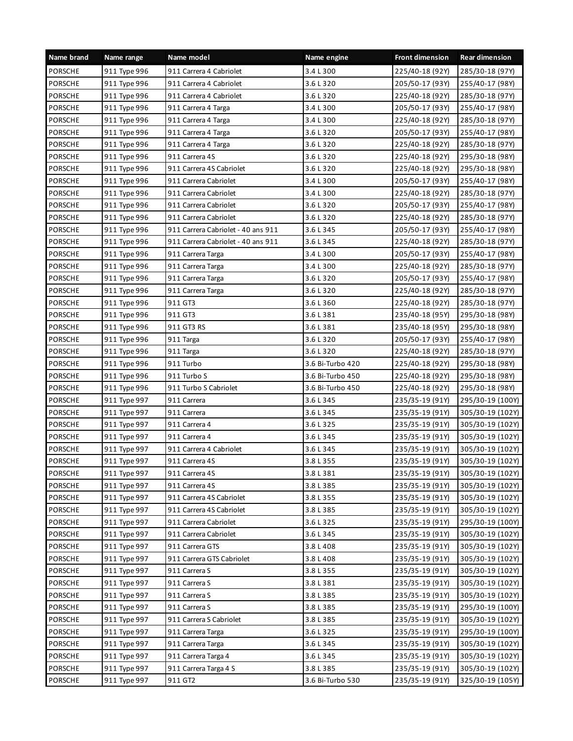| Name brand     | Name range   | Name model                         | Name engine      | <b>Front dimension</b> | <b>Rear dimension</b> |
|----------------|--------------|------------------------------------|------------------|------------------------|-----------------------|
| <b>PORSCHE</b> | 911 Type 996 | 911 Carrera 4 Cabriolet            | 3.4 L 300        | 225/40-18 (92Y)        | 285/30-18 (97Y)       |
| <b>PORSCHE</b> | 911 Type 996 | 911 Carrera 4 Cabriolet            | 3.6 L 320        | 205/50-17 (93Y)        | 255/40-17 (98Y)       |
| <b>PORSCHE</b> | 911 Type 996 | 911 Carrera 4 Cabriolet            | 3.6 L 320        | 225/40-18 (92Y)        | 285/30-18 (97Y)       |
| <b>PORSCHE</b> | 911 Type 996 | 911 Carrera 4 Targa                | 3.4 L 300        | 205/50-17 (93Y)        | 255/40-17 (98Y)       |
| <b>PORSCHE</b> | 911 Type 996 | 911 Carrera 4 Targa                | 3.4 L 300        | 225/40-18 (92Y)        | 285/30-18 (97Y)       |
| PORSCHE        | 911 Type 996 | 911 Carrera 4 Targa                | 3.6 L 320        | 205/50-17 (93Y)        | 255/40-17 (98Y)       |
| <b>PORSCHE</b> | 911 Type 996 | 911 Carrera 4 Targa                | 3.6 L 320        | 225/40-18 (92Y)        | 285/30-18 (97Y)       |
| <b>PORSCHE</b> | 911 Type 996 | 911 Carrera 4S                     | 3.6 L 320        | 225/40-18 (92Y)        | 295/30-18 (98Y)       |
| PORSCHE        | 911 Type 996 | 911 Carrera 4S Cabriolet           | 3.6 L 320        | 225/40-18 (92Y)        | 295/30-18 (98Y)       |
| <b>PORSCHE</b> | 911 Type 996 | 911 Carrera Cabriolet              | 3.4 L 300        | 205/50-17 (93Y)        | 255/40-17 (98Y)       |
| PORSCHE        | 911 Type 996 | 911 Carrera Cabriolet              | 3.4 L 300        | 225/40-18 (92Y)        | 285/30-18 (97Y)       |
| PORSCHE        | 911 Type 996 | 911 Carrera Cabriolet              | 3.6 L 320        | 205/50-17 (93Y)        | 255/40-17 (98Y)       |
| <b>PORSCHE</b> | 911 Type 996 | 911 Carrera Cabriolet              | 3.6 L 320        | 225/40-18 (92Y)        | 285/30-18 (97Y)       |
| <b>PORSCHE</b> | 911 Type 996 | 911 Carrera Cabriolet - 40 ans 911 | 3.6 L 345        | 205/50-17 (93Y)        | 255/40-17 (98Y)       |
| <b>PORSCHE</b> | 911 Type 996 | 911 Carrera Cabriolet - 40 ans 911 | 3.6 L 345        | 225/40-18 (92Y)        | 285/30-18 (97Y)       |
| <b>PORSCHE</b> | 911 Type 996 | 911 Carrera Targa                  | 3.4 L 300        | 205/50-17 (93Y)        | 255/40-17 (98Y)       |
| PORSCHE        | 911 Type 996 | 911 Carrera Targa                  | 3.4 L 300        | 225/40-18 (92Y)        | 285/30-18 (97Y)       |
| <b>PORSCHE</b> | 911 Type 996 | 911 Carrera Targa                  | 3.6 L 320        | 205/50-17 (93Y)        | 255/40-17 (98Y)       |
| <b>PORSCHE</b> | 911 Type 996 | 911 Carrera Targa                  | 3.6 L 320        | 225/40-18 (92Y)        | 285/30-18 (97Y)       |
| <b>PORSCHE</b> | 911 Type 996 | 911 GT3                            | 3.6 L 360        | 225/40-18 (92Y)        | 285/30-18 (97Y)       |
| PORSCHE        | 911 Type 996 | 911 GT3                            | 3.6 L 381        | 235/40-18 (95Y)        | 295/30-18 (98Y)       |
| PORSCHE        | 911 Type 996 | 911 GT3 RS                         | 3.6 L 381        | 235/40-18 (95Y)        | 295/30-18 (98Y)       |
| <b>PORSCHE</b> | 911 Type 996 | 911 Targa                          | 3.6 L 320        | 205/50-17 (93Y)        | 255/40-17 (98Y)       |
| PORSCHE        | 911 Type 996 | 911 Targa                          | 3.6 L 320        | 225/40-18 (92Y)        | 285/30-18 (97Y)       |
| <b>PORSCHE</b> | 911 Type 996 | 911 Turbo                          | 3.6 Bi-Turbo 420 | 225/40-18 (92Y)        | 295/30-18 (98Y)       |
| <b>PORSCHE</b> | 911 Type 996 | 911 Turbo S                        | 3.6 Bi-Turbo 450 | 225/40-18 (92Y)        | 295/30-18 (98Y)       |
| <b>PORSCHE</b> | 911 Type 996 | 911 Turbo S Cabriolet              | 3.6 Bi-Turbo 450 | 225/40-18 (92Y)        | 295/30-18 (98Y)       |
| PORSCHE        | 911 Type 997 | 911 Carrera                        | 3.6 L 345        | 235/35-19 (91Y)        | 295/30-19 (100Y)      |
| <b>PORSCHE</b> | 911 Type 997 | 911 Carrera                        | 3.6 L 345        | 235/35-19 (91Y)        | 305/30-19 (102Y)      |
| <b>PORSCHE</b> | 911 Type 997 | 911 Carrera 4                      | 3.6 L 325        | 235/35-19 (91Y)        | 305/30-19 (102Y)      |
| <b>PORSCHE</b> | 911 Type 997 | 911 Carrera 4                      | 3.6 L 345        | 235/35-19 (91Y)        | 305/30-19 (102Y)      |
| <b>PORSCHE</b> | 911 Type 997 | 911 Carrera 4 Cabriolet            | 3.6 L 345        | 235/35-19 (91Y)        | 305/30-19 (102Y)      |
| <b>PORSCHE</b> | 911 Type 997 | 911 Carrera 4S                     | 3.8 L 355        | 235/35-19 (91Y)        | 305/30-19 (102Y)      |
| PORSCHE        | 911 Type 997 | 911 Carrera 4S                     | 3.8 L 381        | 235/35-19 (91Y)        | 305/30-19 (102Y)      |
| PORSCHE        | 911 Type 997 | 911 Carrera 4S                     | 3.8 L 385        | 235/35-19 (91Y)        | 305/30-19 (102Y)      |
| PORSCHE        | 911 Type 997 | 911 Carrera 4S Cabriolet           | 3.8 L 355        | 235/35-19 (91Y)        | 305/30-19 (102Y)      |
| PORSCHE        | 911 Type 997 | 911 Carrera 4S Cabriolet           | 3.8 L 385        | 235/35-19 (91Y)        | 305/30-19 (102Y)      |
| PORSCHE        | 911 Type 997 | 911 Carrera Cabriolet              | 3.6 L 325        | 235/35-19 (91Y)        | 295/30-19 (100Y)      |
| PORSCHE        | 911 Type 997 | 911 Carrera Cabriolet              | 3.6 L 345        | 235/35-19 (91Y)        | 305/30-19 (102Y)      |
| PORSCHE        | 911 Type 997 | 911 Carrera GTS                    | 3.8 L 408        | 235/35-19 (91Y)        | 305/30-19 (102Y)      |
| PORSCHE        | 911 Type 997 | 911 Carrera GTS Cabriolet          | 3.8 L 408        | 235/35-19 (91Y)        | 305/30-19 (102Y)      |
| PORSCHE        | 911 Type 997 | 911 Carrera S                      | 3.8 L 355        | 235/35-19 (91Y)        | 305/30-19 (102Y)      |
| PORSCHE        | 911 Type 997 | 911 Carrera S                      | 3.8 L 381        | 235/35-19 (91Y)        | 305/30-19 (102Y)      |
| PORSCHE        | 911 Type 997 | 911 Carrera S                      | 3.8 L 385        | 235/35-19 (91Y)        | 305/30-19 (102Y)      |
| PORSCHE        | 911 Type 997 | 911 Carrera S                      | 3.8 L 385        | 235/35-19 (91Y)        | 295/30-19 (100Y)      |
| PORSCHE        | 911 Type 997 | 911 Carrera S Cabriolet            | 3.8 L 385        | 235/35-19 (91Y)        | 305/30-19 (102Y)      |
| PORSCHE        | 911 Type 997 | 911 Carrera Targa                  | 3.6 L 325        | 235/35-19 (91Y)        | 295/30-19 (100Y)      |
| PORSCHE        | 911 Type 997 | 911 Carrera Targa                  | 3.6 L 345        | 235/35-19 (91Y)        | 305/30-19 (102Y)      |
| PORSCHE        | 911 Type 997 | 911 Carrera Targa 4                | 3.6 L 345        | 235/35-19 (91Y)        | 305/30-19 (102Y)      |
| PORSCHE        | 911 Type 997 | 911 Carrera Targa 4 S              | 3.8 L 385        | 235/35-19 (91Y)        | 305/30-19 (102Y)      |
| PORSCHE        | 911 Type 997 | 911 GT2                            | 3.6 Bi-Turbo 530 | 235/35-19 (91Y)        | 325/30-19 (105Y)      |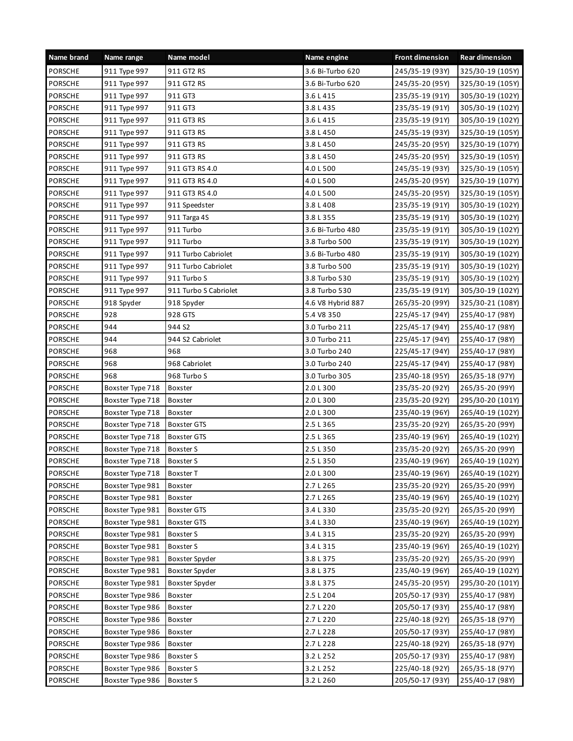| Name brand     | Name range       | Name model            | Name engine       | <b>Front dimension</b> | <b>Rear dimension</b> |
|----------------|------------------|-----------------------|-------------------|------------------------|-----------------------|
| <b>PORSCHE</b> | 911 Type 997     | 911 GT2 RS            | 3.6 Bi-Turbo 620  | 245/35-19 (93Y)        | 325/30-19 (105Y)      |
| <b>PORSCHE</b> | 911 Type 997     | 911 GT2 RS            | 3.6 Bi-Turbo 620  | 245/35-20 (95Y)        | 325/30-19 (105Y)      |
| <b>PORSCHE</b> | 911 Type 997     | 911 GT3               | 3.6 L 415         | 235/35-19 (91Y)        | 305/30-19 (102Y)      |
| <b>PORSCHE</b> | 911 Type 997     | 911 GT3               | 3.8 L 435         | 235/35-19 (91Y)        | 305/30-19 (102Y)      |
| PORSCHE        | 911 Type 997     | 911 GT3 RS            | 3.6 L 415         | 235/35-19 (91Y)        | 305/30-19 (102Y)      |
| PORSCHE        | 911 Type 997     | 911 GT3 RS            | 3.8 L 450         | 245/35-19 (93Y)        | 325/30-19 (105Y)      |
| <b>PORSCHE</b> | 911 Type 997     | 911 GT3 RS            | 3.8 L 450         | 245/35-20 (95Y)        | 325/30-19 (107Y)      |
| <b>PORSCHE</b> | 911 Type 997     | 911 GT3 RS            | 3.8 L 450         | 245/35-20 (95Y)        | 325/30-19 (105Y)      |
| PORSCHE        | 911 Type 997     | 911 GT3 RS 4.0        | 4.0 L 500         | 245/35-19 (93Y)        | 325/30-19 (105Y)      |
| <b>PORSCHE</b> | 911 Type 997     | 911 GT3 RS 4.0        | 4.0 L 500         | 245/35-20 (95Y)        | 325/30-19 (107Y)      |
| PORSCHE        | 911 Type 997     | 911 GT3 RS 4.0        | 4.0 L 500         | 245/35-20 (95Y)        | 325/30-19 (105Y)      |
| PORSCHE        | 911 Type 997     | 911 Speedster         | 3.8 L 408         | 235/35-19 (91Y)        | 305/30-19 (102Y)      |
| <b>PORSCHE</b> | 911 Type 997     | 911 Targa 4S          | 3.8 L 355         | 235/35-19 (91Y)        | 305/30-19 (102Y)      |
| <b>PORSCHE</b> | 911 Type 997     | 911 Turbo             | 3.6 Bi-Turbo 480  | 235/35-19 (91Y)        | 305/30-19 (102Y)      |
| <b>PORSCHE</b> | 911 Type 997     | 911 Turbo             | 3.8 Turbo 500     | 235/35-19 (91Y)        | 305/30-19 (102Y)      |
| <b>PORSCHE</b> | 911 Type 997     | 911 Turbo Cabriolet   | 3.6 Bi-Turbo 480  | 235/35-19 (91Y)        | 305/30-19 (102Y)      |
| PORSCHE        | 911 Type 997     | 911 Turbo Cabriolet   | 3.8 Turbo 500     | 235/35-19 (91Y)        | 305/30-19 (102Y)      |
| PORSCHE        | 911 Type 997     | 911 Turbo S           | 3.8 Turbo 530     | 235/35-19 (91Y)        | 305/30-19 (102Y)      |
| <b>PORSCHE</b> | 911 Type 997     | 911 Turbo S Cabriolet | 3.8 Turbo 530     | 235/35-19 (91Y)        | 305/30-19 (102Y)      |
| PORSCHE        | 918 Spyder       | 918 Spyder            | 4.6 V8 Hybrid 887 | 265/35-20 (99Y)        | 325/30-21 (108Y)      |
| PORSCHE        | 928              | 928 GTS               | 5.4 V8 350        | 225/45-17 (94Y)        | 255/40-17 (98Y)       |
| PORSCHE        | 944              | 944 S <sub>2</sub>    | 3.0 Turbo 211     | 225/45-17 (94Y)        | 255/40-17 (98Y)       |
| <b>PORSCHE</b> | 944              | 944 S2 Cabriolet      | 3.0 Turbo 211     | 225/45-17 (94Y)        | 255/40-17 (98Y)       |
| PORSCHE        | 968              | 968                   | 3.0 Turbo 240     | 225/45-17 (94Y)        | 255/40-17 (98Y)       |
| <b>PORSCHE</b> | 968              | 968 Cabriolet         | 3.0 Turbo 240     | 225/45-17 (94Y)        | 255/40-17 (98Y)       |
| <b>PORSCHE</b> | 968              | 968 Turbo S           | 3.0 Turbo 305     | 235/40-18 (95Y)        | 265/35-18 (97Y)       |
| <b>PORSCHE</b> | Boxster Type 718 | Boxster               | 2.0 L 300         | 235/35-20 (92Y)        | 265/35-20 (99Y)       |
| PORSCHE        | Boxster Type 718 | Boxster               | 2.0 L 300         | 235/35-20 (92Y)        | 295/30-20 (101Y)      |
| <b>PORSCHE</b> | Boxster Type 718 | <b>Boxster</b>        | 2.0 L 300         | 235/40-19 (96Y)        | 265/40-19 (102Y)      |
| <b>PORSCHE</b> | Boxster Type 718 | <b>Boxster GTS</b>    | 2.5 L 365         | 235/35-20 (92Y)        | 265/35-20 (99Y)       |
| <b>PORSCHE</b> | Boxster Type 718 | <b>Boxster GTS</b>    | 2.5 L 365         | 235/40-19 (96Y)        | 265/40-19 (102Y)      |
| <b>PORSCHE</b> | Boxster Type 718 | Boxster S             | 2.5 L 350         | 235/35-20 (92Y)        | 265/35-20 (99Y)       |
| <b>PORSCHE</b> | Boxster Type 718 | Boxster S             | 2.5 L 350         | 235/40-19 (96Y)        | 265/40-19 (102Y)      |
| PORSCHE        | Boxster Type 718 | Boxster T             | 2.0 L 300         | 235/40-19 (96Y)        | 265/40-19 (102Y)      |
| PORSCHE        | Boxster Type 981 | Boxster               | 2.7 L 265         | 235/35-20 (92Y)        | 265/35-20 (99Y)       |
| PORSCHE        | Boxster Type 981 | <b>Boxster</b>        | 2.7 L 265         | 235/40-19 (96Y)        | 265/40-19 (102Y)      |
| PORSCHE        | Boxster Type 981 | <b>Boxster GTS</b>    | 3.4 L 330         | 235/35-20 (92Y)        | 265/35-20 (99Y)       |
| PORSCHE        | Boxster Type 981 | <b>Boxster GTS</b>    | 3.4 L 330         | 235/40-19 (96Y)        | 265/40-19 (102Y)      |
| PORSCHE        | Boxster Type 981 | Boxster S             | 3.4 L 315         | 235/35-20 (92Y)        | 265/35-20 (99Y)       |
| PORSCHE        | Boxster Type 981 | Boxster S             | 3.4 L 315         | 235/40-19 (96Y)        | 265/40-19 (102Y)      |
| PORSCHE        | Boxster Type 981 | Boxster Spyder        | 3.8 L 375         | 235/35-20 (92Y)        | 265/35-20 (99Y)       |
| PORSCHE        | Boxster Type 981 | Boxster Spyder        | 3.8 L 375         | 235/40-19 (96Y)        | 265/40-19 (102Y)      |
| PORSCHE        | Boxster Type 981 | Boxster Spyder        | 3.8 L 375         | 245/35-20 (95Y)        | 295/30-20 (101Y)      |
| PORSCHE        | Boxster Type 986 | Boxster               | 2.5 L 204         | 205/50-17 (93Y)        | 255/40-17 (98Y)       |
| PORSCHE        | Boxster Type 986 | Boxster               | 2.7 L 220         | 205/50-17 (93Y)        | 255/40-17 (98Y)       |
| PORSCHE        | Boxster Type 986 | Boxster               | 2.7 L 220         | 225/40-18 (92Y)        | 265/35-18 (97Y)       |
| PORSCHE        | Boxster Type 986 | Boxster               | 2.7 L 228         | 205/50-17 (93Y)        | 255/40-17 (98Y)       |
| PORSCHE        | Boxster Type 986 | Boxster               | 2.7 L 228         | 225/40-18 (92Y)        | 265/35-18 (97Y)       |
| PORSCHE        | Boxster Type 986 | Boxster S             | 3.2 L 252         | 205/50-17 (93Y)        | 255/40-17 (98Y)       |
| PORSCHE        | Boxster Type 986 | Boxster S             | 3.2 L 252         | 225/40-18 (92Y)        | 265/35-18 (97Y)       |
| PORSCHE        | Boxster Type 986 | <b>Boxster S</b>      | 3.2 L 260         | 205/50-17 (93Y)        | 255/40-17 (98Y)       |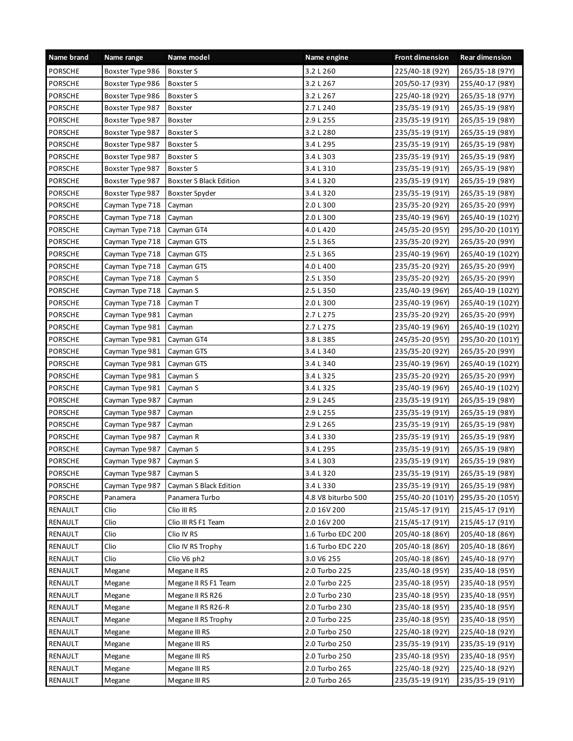| Name brand     | Name range       | Name model              | Name engine        | <b>Front dimension</b> | <b>Rear dimension</b> |
|----------------|------------------|-------------------------|--------------------|------------------------|-----------------------|
| PORSCHE        | Boxster Type 986 | Boxster S               | 3.2 L 260          | 225/40-18 (92Y)        | 265/35-18 (97Y)       |
| <b>PORSCHE</b> | Boxster Type 986 | Boxster S               | 3.2 L 267          | 205/50-17 (93Y)        | 255/40-17 (98Y)       |
| <b>PORSCHE</b> | Boxster Type 986 | Boxster S               | 3.2 L 267          | 225/40-18 (92Y)        | 265/35-18 (97Y)       |
| <b>PORSCHE</b> | Boxster Type 987 | Boxster                 | 2.7 L 240          | 235/35-19 (91Y)        | 265/35-19 (98Y)       |
| <b>PORSCHE</b> | Boxster Type 987 | Boxster                 | 2.9 L 255          | 235/35-19 (91Y)        | 265/35-19 (98Y)       |
| <b>PORSCHE</b> | Boxster Type 987 | Boxster S               | 3.2 L 280          | 235/35-19 (91Y)        | 265/35-19 (98Y)       |
| <b>PORSCHE</b> | Boxster Type 987 | Boxster S               | 3.4 L 295          | 235/35-19 (91Y)        | 265/35-19 (98Y)       |
| <b>PORSCHE</b> | Boxster Type 987 | Boxster S               | 3.4 L 303          | 235/35-19 (91Y)        | 265/35-19 (98Y)       |
| <b>PORSCHE</b> | Boxster Type 987 | Boxster S               | 3.4 L 310          | 235/35-19 (91Y)        | 265/35-19 (98Y)       |
| <b>PORSCHE</b> | Boxster Type 987 | Boxster S Black Edition | 3.4 L 320          | 235/35-19 (91Y)        | 265/35-19 (98Y)       |
| PORSCHE        | Boxster Type 987 | Boxster Spyder          | 3.4 L 320          | 235/35-19 (91Y)        | 265/35-19 (98Y)       |
| <b>PORSCHE</b> | Cayman Type 718  | Cayman                  | 2.0 L 300          | 235/35-20 (92Y)        | 265/35-20 (99Y)       |
| <b>PORSCHE</b> | Cayman Type 718  | Cayman                  | 2.0 L 300          | 235/40-19 (96Y)        | 265/40-19 (102Y)      |
| <b>PORSCHE</b> | Cayman Type 718  | Cayman GT4              | 4.0 L 420          | 245/35-20 (95Y)        | 295/30-20 (101Y)      |
| <b>PORSCHE</b> | Cayman Type 718  | Cayman GTS              | 2.5 L 365          | 235/35-20 (92Y)        | 265/35-20 (99Y)       |
| <b>PORSCHE</b> | Cayman Type 718  | Cayman GTS              | 2.5 L 365          | 235/40-19 (96Y)        | 265/40-19 (102Y)      |
| PORSCHE        | Cayman Type 718  | Cayman GTS              | 4.0 L 400          | 235/35-20 (92Y)        | 265/35-20 (99Y)       |
| <b>PORSCHE</b> | Cayman Type 718  | Cayman S                | 2.5 L 350          | 235/35-20 (92Y)        | 265/35-20 (99Y)       |
| <b>PORSCHE</b> | Cayman Type 718  | Cayman S                | 2.5 L 350          | 235/40-19 (96Y)        | 265/40-19 (102Y)      |
| <b>PORSCHE</b> | Cayman Type 718  | Cayman T                | 2.0 L 300          | 235/40-19 (96Y)        | 265/40-19 (102Y)      |
| <b>PORSCHE</b> | Cayman Type 981  | Cayman                  | 2.7 L 275          | 235/35-20 (92Y)        | 265/35-20 (99Y)       |
| <b>PORSCHE</b> | Cayman Type 981  | Cayman                  | 2.7 L 275          | 235/40-19 (96Y)        | 265/40-19 (102Y)      |
| <b>PORSCHE</b> | Cayman Type 981  | Cayman GT4              | 3.8 L 385          | 245/35-20 (95Y)        | 295/30-20 (101Y)      |
| <b>PORSCHE</b> | Cayman Type 981  | Cayman GTS              | 3.4 L 340          | 235/35-20 (92Y)        | 265/35-20 (99Y)       |
| <b>PORSCHE</b> | Cayman Type 981  | Cayman GTS              | 3.4 L 340          | 235/40-19 (96Y)        | 265/40-19 (102Y)      |
| <b>PORSCHE</b> | Cayman Type 981  | Cayman S                | 3.4 L 325          | 235/35-20 (92Y)        | 265/35-20 (99Y)       |
| <b>PORSCHE</b> | Cayman Type 981  | Cayman S                | 3.4 L 325          | 235/40-19 (96Y)        | 265/40-19 (102Y)      |
| <b>PORSCHE</b> | Cayman Type 987  | Cayman                  | 2.9 L 245          | 235/35-19 (91Y)        | 265/35-19 (98Y)       |
| <b>PORSCHE</b> | Cayman Type 987  | Cayman                  | 2.9 L 255          | 235/35-19 (91Y)        | 265/35-19 (98Y)       |
| PORSCHE        | Cayman Type 987  | Cayman                  | 2.9 L 265          | 235/35-19 (91Y)        | 265/35-19 (98Y)       |
| <b>PORSCHE</b> | Cayman Type 987  | Cayman R                | 3.4 L 330          | 235/35-19 (91Y)        | 265/35-19 (98Y)       |
| <b>PORSCHE</b> | Cayman Type 987  | Cayman S                | 3.4 L 295          | 235/35-19 (91Y)        | 265/35-19 (98Y)       |
| <b>PORSCHE</b> | Cayman Type 987  | Cayman S                | 3.4 L 303          | 235/35-19 (91Y)        | 265/35-19 (98Y)       |
| <b>PORSCHE</b> | Cayman Type 987  | Cayman S                | 3.4 L 320          | 235/35-19 (91Y)        | 265/35-19 (98Y)       |
| <b>PORSCHE</b> | Cayman Type 987  | Cayman S Black Edition  | 3.4 L 330          | 235/35-19 (91Y)        | 265/35-19 (98Y)       |
| <b>PORSCHE</b> | Panamera         | Panamera Turbo          | 4.8 V8 biturbo 500 | 255/40-20 (101Y)       | 295/35-20 (105Y)      |
| RENAULT        | Clio             | Clio III RS             | 2.0 16V 200        | 215/45-17 (91Y)        | 215/45-17 (91Y)       |
| RENAULT        | Clio             | Clio III RS F1 Team     | 2.0 16V 200        | 215/45-17 (91Y)        | 215/45-17 (91Y)       |
| RENAULT        | Clio             | Clio IV RS              | 1.6 Turbo EDC 200  | 205/40-18 (86Y)        | 205/40-18 (86Y)       |
| RENAULT        | Clio             | Clio IV RS Trophy       | 1.6 Turbo EDC 220  | 205/40-18 (86Y)        | 205/40-18 (86Y)       |
| RENAULT        | Clio             | Clio V6 ph2             | 3.0 V6 255         | 205/40-18 (86Y)        | 245/40-18 (97Y)       |
| RENAULT        | Megane           | Megane II RS            | 2.0 Turbo 225      | 235/40-18 (95Y)        | 235/40-18 (95Y)       |
| RENAULT        | Megane           | Megane II RS F1 Team    | 2.0 Turbo 225      | 235/40-18 (95Y)        | 235/40-18 (95Y)       |
| RENAULT        | Megane           | Megane II RS R26        | 2.0 Turbo 230      | 235/40-18 (95Y)        | 235/40-18 (95Y)       |
| RENAULT        | Megane           | Megane II RS R26-R      | 2.0 Turbo 230      | 235/40-18 (95Y)        | 235/40-18 (95Y)       |
| RENAULT        | Megane           | Megane II RS Trophy     | 2.0 Turbo 225      | 235/40-18 (95Y)        | 235/40-18 (95Y)       |
| RENAULT        | Megane           | Megane III RS           | 2.0 Turbo 250      | 225/40-18 (92Y)        | 225/40-18 (92Y)       |
| RENAULT        | Megane           | Megane III RS           | 2.0 Turbo 250      | 235/35-19 (91Y)        | 235/35-19 (91Y)       |
| RENAULT        | Megane           | Megane III RS           | 2.0 Turbo 250      | 235/40-18 (95Y)        | 235/40-18 (95Y)       |
| RENAULT        | Megane           | Megane III RS           | 2.0 Turbo 265      | 225/40-18 (92Y)        | 225/40-18 (92Y)       |
| RENAULT        | Megane           | Megane III RS           | 2.0 Turbo 265      | 235/35-19 (91Y)        | 235/35-19 (91Y)       |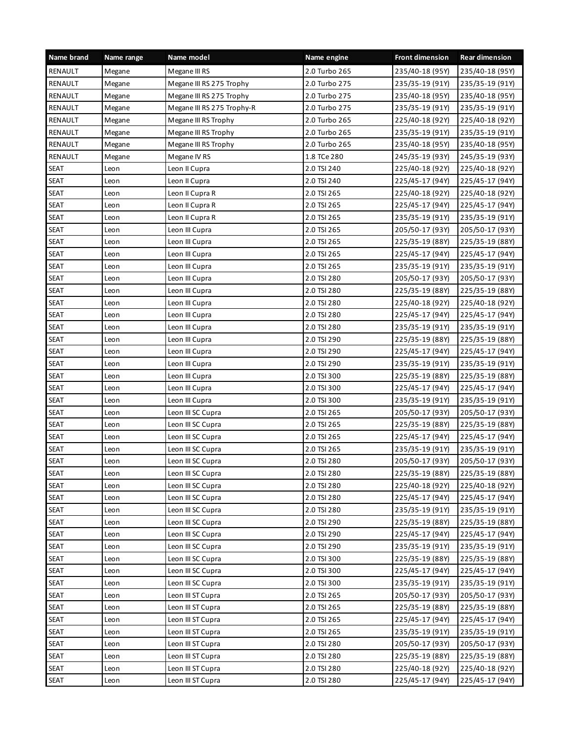| Name brand     | Name range | Name model                 | Name engine   | <b>Front dimension</b> | <b>Rear dimension</b> |
|----------------|------------|----------------------------|---------------|------------------------|-----------------------|
| RENAULT        | Megane     | Megane III RS              | 2.0 Turbo 265 | 235/40-18 (95Y)        | 235/40-18 (95Y)       |
| RENAULT        | Megane     | Megane III RS 275 Trophy   | 2.0 Turbo 275 | 235/35-19 (91Y)        | 235/35-19 (91Y)       |
| RENAULT        | Megane     | Megane III RS 275 Trophy   | 2.0 Turbo 275 | 235/40-18 (95Y)        | 235/40-18 (95Y)       |
| <b>RENAULT</b> | Megane     | Megane III RS 275 Trophy-R | 2.0 Turbo 275 | 235/35-19 (91Y)        | 235/35-19 (91Y)       |
| RENAULT        | Megane     | Megane III RS Trophy       | 2.0 Turbo 265 | 225/40-18 (92Y)        | 225/40-18 (92Y)       |
| RENAULT        | Megane     | Megane III RS Trophy       | 2.0 Turbo 265 | 235/35-19 (91Y)        | 235/35-19 (91Y)       |
| RENAULT        | Megane     | Megane III RS Trophy       | 2.0 Turbo 265 | 235/40-18 (95Y)        | 235/40-18 (95Y)       |
| <b>RENAULT</b> | Megane     | Megane IV RS               | 1.8 TCe 280   | 245/35-19 (93Y)        | 245/35-19 (93Y)       |
| <b>SEAT</b>    | Leon       | Leon II Cupra              | 2.0 TSI 240   | 225/40-18 (92Y)        | 225/40-18 (92Y)       |
| <b>SEAT</b>    | Leon       | Leon II Cupra              | 2.0 TSI 240   | 225/45-17 (94Y)        | 225/45-17 (94Y)       |
| <b>SEAT</b>    | Leon       | Leon II Cupra R            | 2.0 TSI 265   | 225/40-18 (92Y)        | 225/40-18 (92Y)       |
| <b>SEAT</b>    | Leon       | Leon II Cupra R            | 2.0 TSI 265   | 225/45-17 (94Y)        | 225/45-17 (94Y)       |
| <b>SEAT</b>    | Leon       | Leon II Cupra R            | 2.0 TSI 265   | 235/35-19 (91Y)        | 235/35-19 (91Y)       |
| <b>SEAT</b>    | Leon       | Leon III Cupra             | 2.0 TSI 265   | 205/50-17 (93Y)        | 205/50-17 (93Y)       |
| <b>SEAT</b>    | Leon       | Leon III Cupra             | 2.0 TSI 265   | 225/35-19 (88Y)        | 225/35-19 (88Y)       |
| <b>SEAT</b>    | Leon       | Leon III Cupra             | 2.0 TSI 265   | 225/45-17 (94Y)        | 225/45-17 (94Y)       |
| <b>SEAT</b>    | Leon       | Leon III Cupra             | 2.0 TSI 265   | 235/35-19 (91Y)        | 235/35-19 (91Y)       |
| <b>SEAT</b>    | Leon       | Leon III Cupra             | 2.0 TSI 280   | 205/50-17 (93Y)        | 205/50-17 (93Y)       |
| <b>SEAT</b>    | Leon       | Leon III Cupra             | 2.0 TSI 280   | 225/35-19 (88Y)        | 225/35-19 (88Y)       |
| <b>SEAT</b>    | Leon       | Leon III Cupra             | 2.0 TSI 280   | 225/40-18 (92Y)        | 225/40-18 (92Y)       |
| <b>SEAT</b>    | Leon       | Leon III Cupra             | 2.0 TSI 280   | 225/45-17 (94Y)        | 225/45-17 (94Y)       |
| <b>SEAT</b>    | Leon       | Leon III Cupra             | 2.0 TSI 280   | 235/35-19 (91Y)        | 235/35-19 (91Y)       |
| <b>SEAT</b>    | Leon       | Leon III Cupra             | 2.0 TSI 290   | 225/35-19 (88Y)        | 225/35-19 (88Y)       |
| <b>SEAT</b>    | Leon       | Leon III Cupra             | 2.0 TSI 290   | 225/45-17 (94Y)        | 225/45-17 (94Y)       |
| <b>SEAT</b>    | Leon       | Leon III Cupra             | 2.0 TSI 290   | 235/35-19 (91Y)        | 235/35-19 (91Y)       |
| <b>SEAT</b>    | Leon       | Leon III Cupra             | 2.0 TSI 300   | 225/35-19 (88Y)        | 225/35-19 (88Y)       |
| <b>SEAT</b>    | Leon       | Leon III Cupra             | 2.0 TSI 300   | 225/45-17 (94Y)        | 225/45-17 (94Y)       |
| <b>SEAT</b>    | Leon       | Leon III Cupra             | 2.0 TSI 300   | 235/35-19 (91Y)        | 235/35-19 (91Y)       |
| <b>SEAT</b>    | Leon       | Leon III SC Cupra          | 2.0 TSI 265   | 205/50-17 (93Y)        | 205/50-17 (93Y)       |
| <b>SEAT</b>    | Leon       | Leon III SC Cupra          | 2.0 TSI 265   | 225/35-19 (88Y)        | 225/35-19 (88Y)       |
| <b>SEAT</b>    | Leon       | Leon III SC Cupra          | 2.0 TSI 265   | 225/45-17 (94Y)        | 225/45-17 (94Y)       |
| <b>SEAT</b>    | Leon       | Leon III SC Cupra          | 2.0 TSI 265   | 235/35-19 (91Y)        | 235/35-19 (91Y)       |
| <b>SEAT</b>    | Leon       | Leon III SC Cupra          | 2.0 TSI 280   | 205/50-17 (93Y)        | 205/50-17 (93Y)       |
| <b>SEAT</b>    | Leon       | Leon III SC Cupra          | 2.0 TSI 280   | 225/35-19 (88Y)        | 225/35-19 (88Y)       |
| <b>SEAT</b>    | Leon       | Leon III SC Cupra          | 2.0 TSI 280   | 225/40-18 (92Y)        | 225/40-18 (92Y)       |
| <b>SEAT</b>    | Leon       | Leon III SC Cupra          | 2.0 TSI 280   | 225/45-17 (94Y)        | 225/45-17 (94Y)       |
| <b>SEAT</b>    | Leon       | Leon III SC Cupra          | 2.0 TSI 280   | 235/35-19 (91Y)        | 235/35-19 (91Y)       |
| <b>SEAT</b>    | Leon       | Leon III SC Cupra          | 2.0 TSI 290   | 225/35-19 (88Y)        | 225/35-19 (88Y)       |
| <b>SEAT</b>    | Leon       | Leon III SC Cupra          | 2.0 TSI 290   | 225/45-17 (94Y)        | 225/45-17 (94Y)       |
| <b>SEAT</b>    | Leon       | Leon III SC Cupra          | 2.0 TSI 290   | 235/35-19 (91Y)        | 235/35-19 (91Y)       |
| <b>SEAT</b>    | Leon       | Leon III SC Cupra          | 2.0 TSI 300   | 225/35-19 (88Y)        | 225/35-19 (88Y)       |
| <b>SEAT</b>    | Leon       | Leon III SC Cupra          | 2.0 TSI 300   | 225/45-17 (94Y)        | 225/45-17 (94Y)       |
| <b>SEAT</b>    | Leon       | Leon III SC Cupra          | 2.0 TSI 300   | 235/35-19 (91Y)        | 235/35-19 (91Y)       |
| <b>SEAT</b>    | Leon       | Leon III ST Cupra          | 2.0 TSI 265   | 205/50-17 (93Y)        | 205/50-17 (93Y)       |
| <b>SEAT</b>    | Leon       | Leon III ST Cupra          | 2.0 TSI 265   | 225/35-19 (88Y)        | 225/35-19 (88Y)       |
| <b>SEAT</b>    | Leon       | Leon III ST Cupra          | 2.0 TSI 265   | 225/45-17 (94Y)        | 225/45-17 (94Y)       |
| <b>SEAT</b>    | Leon       | Leon III ST Cupra          | 2.0 TSI 265   | 235/35-19 (91Y)        | 235/35-19 (91Y)       |
| <b>SEAT</b>    | Leon       | Leon III ST Cupra          | 2.0 TSI 280   | 205/50-17 (93Y)        | 205/50-17 (93Y)       |
| <b>SEAT</b>    | Leon       | Leon III ST Cupra          | 2.0 TSI 280   | 225/35-19 (88Y)        | 225/35-19 (88Y)       |
| <b>SEAT</b>    | Leon       | Leon III ST Cupra          | 2.0 TSI 280   | 225/40-18 (92Y)        | 225/40-18 (92Y)       |
| <b>SEAT</b>    | Leon       | Leon III ST Cupra          | 2.0 TSI 280   | 225/45-17 (94Y)        | 225/45-17 (94Y)       |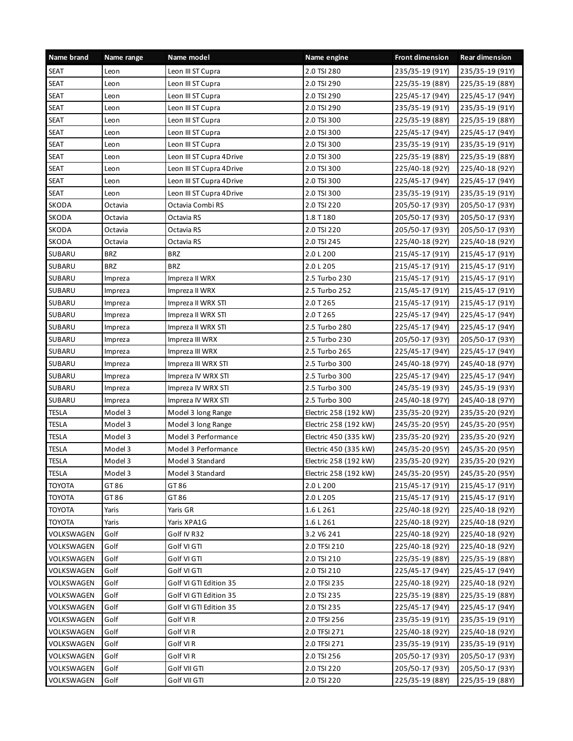| Name brand    | Name range | Name model               | Name engine           | <b>Front dimension</b> | <b>Rear dimension</b> |
|---------------|------------|--------------------------|-----------------------|------------------------|-----------------------|
| <b>SEAT</b>   | Leon       | Leon III ST Cupra        | 2.0 TSI 280           | 235/35-19 (91Y)        | 235/35-19 (91Y)       |
| <b>SEAT</b>   | Leon       | Leon III ST Cupra        | 2.0 TSI 290           | 225/35-19 (88Y)        | 225/35-19 (88Y)       |
| <b>SEAT</b>   | Leon       | Leon III ST Cupra        | 2.0 TSI 290           | 225/45-17 (94Y)        | 225/45-17 (94Y)       |
| <b>SEAT</b>   | Leon       | Leon III ST Cupra        | 2.0 TSI 290           | 235/35-19 (91Y)        | 235/35-19 (91Y)       |
| <b>SEAT</b>   | Leon       | Leon III ST Cupra        | 2.0 TSI 300           | 225/35-19 (88Y)        | 225/35-19 (88Y)       |
| <b>SEAT</b>   | Leon       | Leon III ST Cupra        | 2.0 TSI 300           | 225/45-17 (94Y)        | 225/45-17 (94Y)       |
| <b>SEAT</b>   | Leon       | Leon III ST Cupra        | 2.0 TSI 300           | 235/35-19 (91Y)        | 235/35-19 (91Y)       |
| <b>SEAT</b>   | Leon       | Leon III ST Cupra 4Drive | 2.0 TSI 300           | 225/35-19 (88Y)        | 225/35-19 (88Y)       |
| <b>SEAT</b>   | Leon       | Leon III ST Cupra 4Drive | 2.0 TSI 300           | 225/40-18 (92Y)        | 225/40-18 (92Y)       |
| <b>SEAT</b>   | Leon       | Leon III ST Cupra 4Drive | 2.0 TSI 300           | 225/45-17 (94Y)        | 225/45-17 (94Y)       |
| <b>SEAT</b>   | Leon       | Leon III ST Cupra 4Drive | 2.0 TSI 300           | 235/35-19 (91Y)        | 235/35-19 (91Y)       |
| SKODA         | Octavia    | Octavia Combi RS         | 2.0 TSI 220           | 205/50-17 (93Y)        | 205/50-17 (93Y)       |
| SKODA         | Octavia    | Octavia RS               | 1.8 T 180             | 205/50-17 (93Y)        | 205/50-17 (93Y)       |
| SKODA         | Octavia    | Octavia RS               | 2.0 TSI 220           | 205/50-17 (93Y)        | 205/50-17 (93Y)       |
| SKODA         | Octavia    | Octavia RS               | 2.0 TSI 245           | 225/40-18 (92Y)        | 225/40-18 (92Y)       |
| SUBARU        | <b>BRZ</b> | <b>BRZ</b>               | 2.0 L 200             | 215/45-17 (91Y)        | 215/45-17 (91Y)       |
| SUBARU        | <b>BRZ</b> | <b>BRZ</b>               | 2.0 L 205             | 215/45-17 (91Y)        | 215/45-17 (91Y)       |
| SUBARU        | Impreza    | Impreza II WRX           | 2.5 Turbo 230         | 215/45-17 (91Y)        | 215/45-17 (91Y)       |
| SUBARU        | Impreza    | Impreza II WRX           | 2.5 Turbo 252         | 215/45-17 (91Y)        | 215/45-17 (91Y)       |
| SUBARU        | Impreza    | Impreza II WRX STI       | 2.0 T 265             | 215/45-17 (91Y)        | 215/45-17 (91Y)       |
| SUBARU        | Impreza    | Impreza II WRX STI       | 2.0 T 265             | 225/45-17 (94Y)        | 225/45-17 (94Y)       |
| SUBARU        | Impreza    | Impreza II WRX STI       | 2.5 Turbo 280         | 225/45-17 (94Y)        | 225/45-17 (94Y)       |
| SUBARU        | Impreza    | Impreza III WRX          | 2.5 Turbo 230         | 205/50-17 (93Y)        | 205/50-17 (93Y)       |
| SUBARU        | Impreza    | Impreza III WRX          | 2.5 Turbo 265         | 225/45-17 (94Y)        | 225/45-17 (94Y)       |
| SUBARU        | Impreza    | Impreza III WRX STI      | 2.5 Turbo 300         | 245/40-18 (97Y)        | 245/40-18 (97Y)       |
| SUBARU        | Impreza    | Impreza IV WRX STI       | 2.5 Turbo 300         | 225/45-17 (94Y)        | 225/45-17 (94Y)       |
| SUBARU        | Impreza    | Impreza IV WRX STI       | 2.5 Turbo 300         | 245/35-19 (93Y)        | 245/35-19 (93Y)       |
| <b>SUBARU</b> | Impreza    | Impreza IV WRX STI       | 2.5 Turbo 300         | 245/40-18 (97Y)        | 245/40-18 (97Y)       |
| <b>TESLA</b>  | Model 3    | Model 3 long Range       | Electric 258 (192 kW) | 235/35-20 (92Y)        | 235/35-20 (92Y)       |
| <b>TESLA</b>  | Model 3    | Model 3 long Range       | Electric 258 (192 kW) | 245/35-20 (95Y)        | 245/35-20 (95Y)       |
| <b>TESLA</b>  | Model 3    | Model 3 Performance      | Electric 450 (335 kW) | 235/35-20 (92Y)        | 235/35-20 (92Y)       |
| <b>TESLA</b>  | Model 3    | Model 3 Performance      | Electric 450 (335 kW) | 245/35-20 (95Y)        | 245/35-20 (95Y)       |
| <b>TESLA</b>  | Model 3    | Model 3 Standard         | Electric 258 (192 kW) | 235/35-20 (92Y)        | 235/35-20 (92Y)       |
| <b>TESLA</b>  | Model 3    | Model 3 Standard         | Electric 258 (192 kW) | 245/35-20 (95Y)        | 245/35-20 (95Y)       |
| TOYOTA        | GT 86      | GT 86                    | 2.0 L 200             | 215/45-17 (91Y)        | 215/45-17 (91Y)       |
| <b>TOYOTA</b> | GT 86      | GT 86                    | 2.0 L 205             | 215/45-17 (91Y)        | 215/45-17 (91Y)       |
| <b>TOYOTA</b> | Yaris      | Yaris GR                 | 1.6 L 261             | 225/40-18 (92Y)        | 225/40-18 (92Y)       |
| <b>TOYOTA</b> | Yaris      | Yaris XPA1G              | 1.6 L 261             | 225/40-18 (92Y)        | 225/40-18 (92Y)       |
| VOLKSWAGEN    | Golf       | Golf IV R32              | 3.2 V6 241            | 225/40-18 (92Y)        | 225/40-18 (92Y)       |
| VOLKSWAGEN    | Golf       | Golf VI GTI              | 2.0 TFSI 210          | 225/40-18 (92Y)        | 225/40-18 (92Y)       |
| VOLKSWAGEN    | Golf       | Golf VI GTI              | 2.0 TSI 210           | 225/35-19 (88Y)        | 225/35-19 (88Y)       |
| VOLKSWAGEN    | Golf       | Golf VI GTI              | 2.0 TSI 210           | 225/45-17 (94Y)        | 225/45-17 (94Y)       |
| VOLKSWAGEN    | Golf       | Golf VI GTI Edition 35   | 2.0 TFSI 235          | 225/40-18 (92Y)        | 225/40-18 (92Y)       |
| VOLKSWAGEN    | Golf       | Golf VI GTI Edition 35   | 2.0 TSI 235           | 225/35-19 (88Y)        | 225/35-19 (88Y)       |
| VOLKSWAGEN    | Golf       | Golf VI GTI Edition 35   | 2.0 TSI 235           | 225/45-17 (94Y)        | 225/45-17 (94Y)       |
| VOLKSWAGEN    | Golf       | Golf VI R                | 2.0 TFSI 256          | 235/35-19 (91Y)        | 235/35-19 (91Y)       |
| VOLKSWAGEN    | Golf       | Golf VI R                | 2.0 TFSI 271          | 225/40-18 (92Y)        | 225/40-18 (92Y)       |
| VOLKSWAGEN    | Golf       | Golf VI R                | 2.0 TFSI 271          | 235/35-19 (91Y)        | 235/35-19 (91Y)       |
| VOLKSWAGEN    | Golf       | Golf VIR                 | 2.0 TSI 256           | 205/50-17 (93Y)        | 205/50-17 (93Y)       |
| VOLKSWAGEN    | Golf       | Golf VII GTI             | 2.0 TSI 220           | 205/50-17 (93Y)        | 205/50-17 (93Y)       |
| VOLKSWAGEN    | Golf       | Golf VII GTI             | 2.0 TSI 220           | 225/35-19 (88Y)        | 225/35-19 (88Y)       |